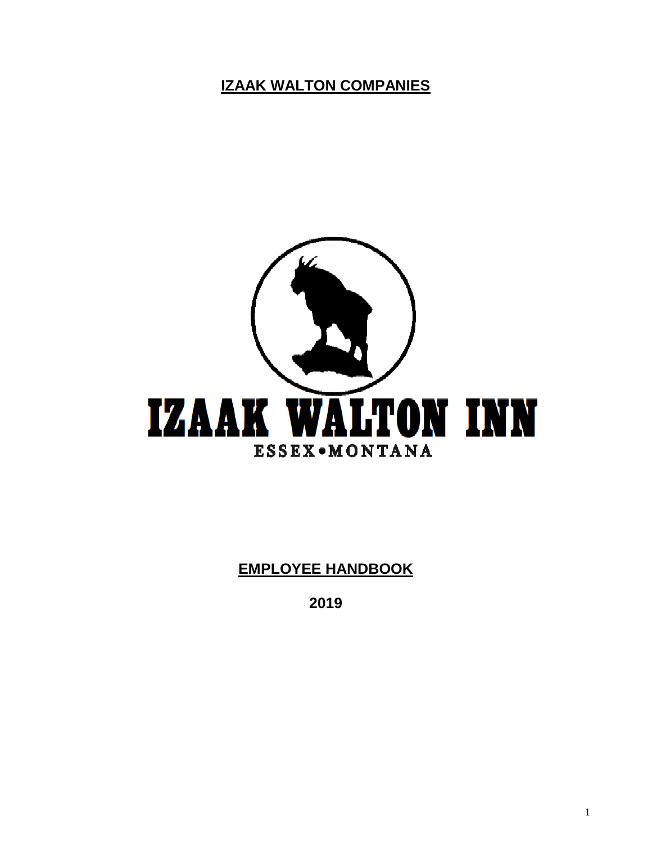**IZAAK WALTON COMPANIES**



**EMPLOYEE HANDBOOK**

**2019**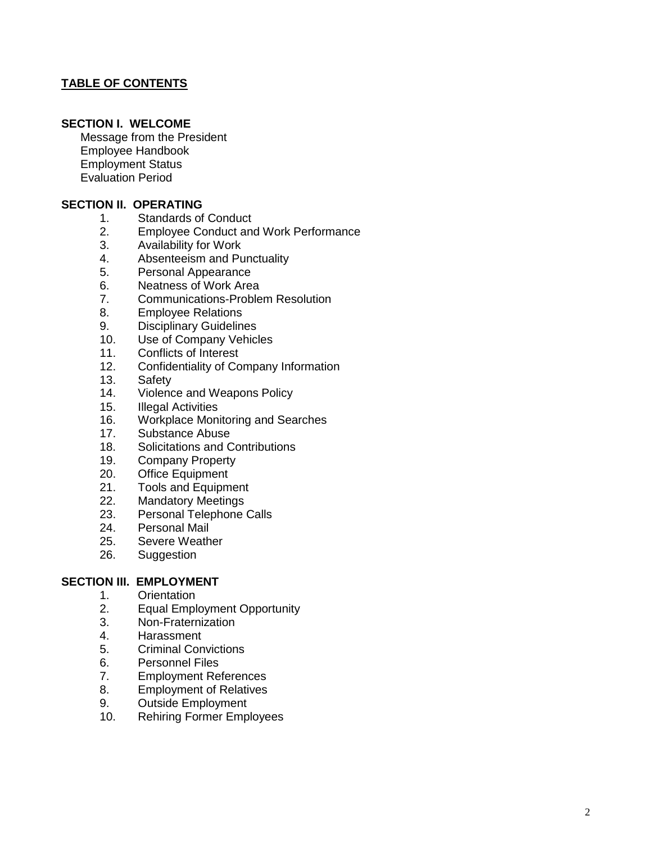#### **TABLE OF CONTENTS**

#### **SECTION I. WELCOME**

Message from the President Employee Handbook Employment Status Evaluation Period

#### **SECTION II. OPERATING**

- 1. Standards of Conduct
- 2. Employee Conduct and Work Performance
- 3. Availability for Work
- 4. Absenteeism and Punctuality
- 5. Personal Appearance
- 6. Neatness of Work Area
- 7. Communications -Problem Resolution
- 8. Employee Relations<br>9. Disciplinary Guideline
- Disciplinary Guidelines
- 10. Use of Company Vehicles
- 11. Conflicts of Interest
- 12. Confidentiality of Company Information
- 13. Safety
- 14. Violence and Weapons Policy
- 15. Illegal Activities
- 16 . Workplace Monitoring and Searches
- 17. Substance Abuse
- 18 . Solicitations and Contributions
- 19. Company Property
- 20. Office Equipment
- 21. Tools and Equipment
- $22.$ . Mandatory Meetings
- 23. Personal Telephone Calls<br>24. Personal Mail
- Personal Mail
- 25. Severe Weather
- 26 . Suggestion

#### **SECTION III. EMPLOYMENT**

- 1. Orientation
- 2. Equal Employment Opportunity
- 3. Non -Fraternization
- 4. Harassment
- 5. Criminal Convictions
- 6. Personnel Files
- 7. Employment References
- 8. Employment of Relatives
- 9. Outside Employment
- $10<sub>1</sub>$ . Rehiring Former Employees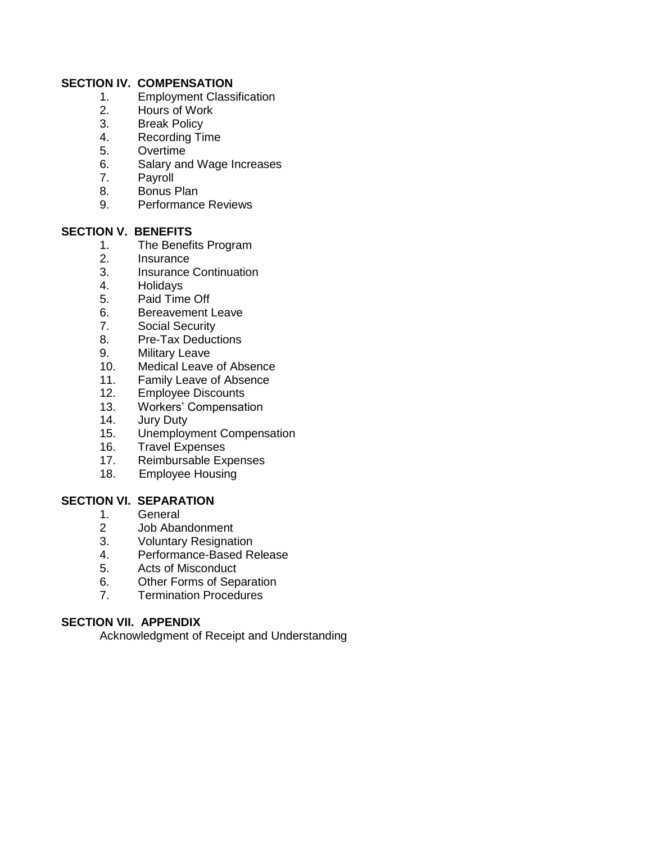#### **SECTION IV. COMPENSATION**

- 1. Employment Classification
- 2. Hours of Work<br>3. Break Policy
- 3. Break Policy<br>4. Recording Tir
- Recording Time
- 5. Overtime
- 6. Salary and Wage Increases
- 7. Payroll
- 8. Bonus Plan
- 9. Performance Reviews

#### **SECTION V. BENEFITS**

- 1. The Benefits Program
- 2. Insurance
- 3. Insurance Continuation
- 4. Holidays
- 5. Paid Time Off
- 6. Bereavement Leave
- 7. Social Security
- 8. Pre-Tax Deductions
- 9. Military Leave
- 10. Medical Leave of Absence
- 11. Family Leave of Absence
- 12. Employee Discounts
- 13. Workers' Compensation
- 14. Jury Duty
- 15. Unemployment Compensation
- 16. Travel Expenses
- 17. Reimbursable Expenses
- 18. Employee Housing

#### **SECTION VI. SEPARATION**

- 1. General<br>2 Job Abai
- Job Abandonment
- 3. Voluntary Resignation
- 4. Performance-Based Release
- 5. Acts of Misconduct
- 6. Other Forms of Separation
- 7. Termination Procedures

#### **SECTION VII. APPENDIX**

Acknowledgment of Receipt and Understanding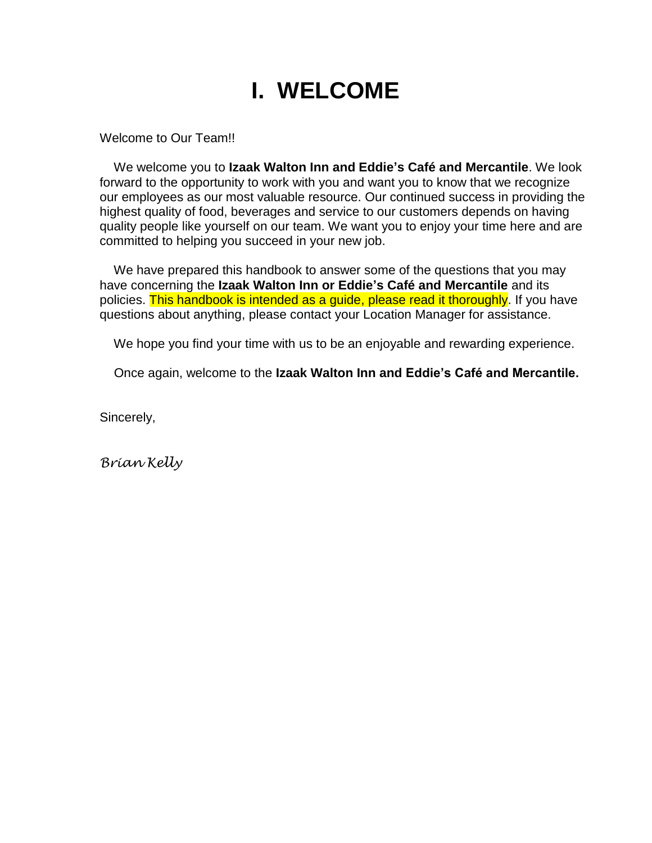## **I. WELCOME**

Welcome to Our Team!!

 We welcome you to **Izaak Walton Inn and Eddie's Café and Mercantile**. We look forward to the opportunity to work with you and want you to know that we recognize our employees as our most valuable resource. Our continued success in providing the highest quality of food, beverages and service to our customers depends on having quality people like yourself on our team. We want you to enjoy your time here and are committed to helping you succeed in your new job.

We have prepared this handbook to answer some of the questions that you may have concerning the **Izaak Walton Inn or Eddie's Café and Mercantile** and its policies. This handbook is intended as a guide, please read it thoroughly. If you have questions about anything, please contact your Location Manager for assistance.

We hope you find your time with us to be an enjoyable and rewarding experience.

Once again, welcome to the **Izaak Walton Inn and Eddie's Café and Mercantile.**

Sincerely,

*Brian Kelly*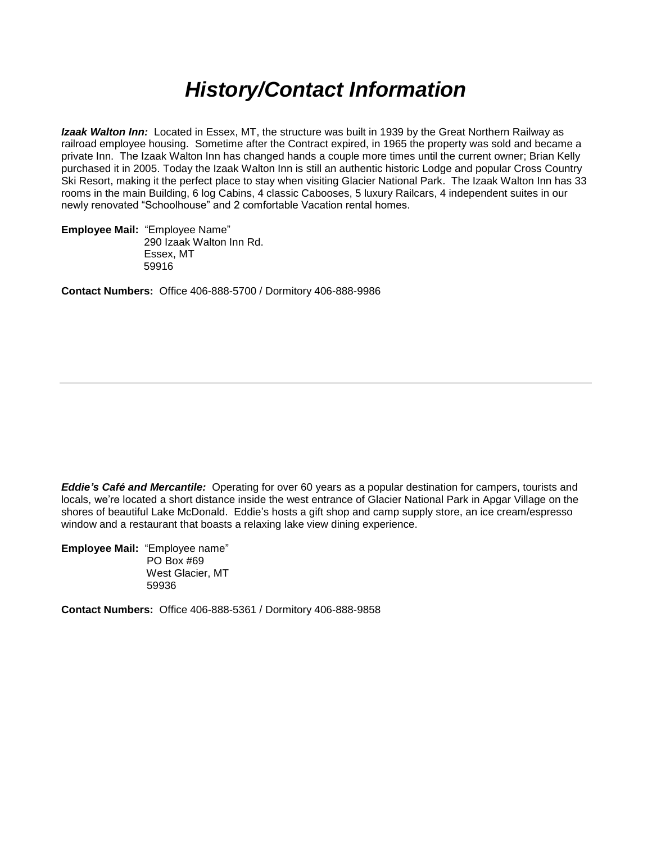## *History/Contact Information*

*Izaak Walton Inn:* Located in Essex, MT, the structure was built in 1939 by the Great Northern Railway as railroad employee housing. Sometime after the Contract expired, in 1965 the property was sold and became a private Inn. The Izaak Walton Inn has changed hands a couple more times until the current owner; Brian Kelly purchased it in 2005. Today the Izaak Walton Inn is still an authentic historic Lodge and popular Cross Country Ski Resort, making it the perfect place to stay when visiting Glacier National Park. The Izaak Walton Inn has 33 rooms in the main Building, 6 log Cabins, 4 classic Cabooses, 5 luxury Railcars, 4 independent suites in our newly renovated "Schoolhouse" and 2 comfortable Vacation rental homes.

**Employee Mail:** "Employee Name" 290 Izaak Walton Inn Rd. Essex, MT 59916

**Contact Numbers:** Office 406-888-5700 / Dormitory 406-888-9986

*Eddie's Café and Mercantile:* Operating for over 60 years as a popular destination for campers, tourists and locals, we're located a short distance inside the west entrance of Glacier National Park in Apgar Village on the shores of beautiful Lake McDonald. Eddie's hosts a gift shop and camp supply store, an ice cream/espresso window and a restaurant that boasts a relaxing lake view dining experience.

**Employee Mail:** "Employee name" PO Box #69 West Glacier, MT 59936

**Contact Numbers:** Office 406-888-5361 / Dormitory 406-888-9858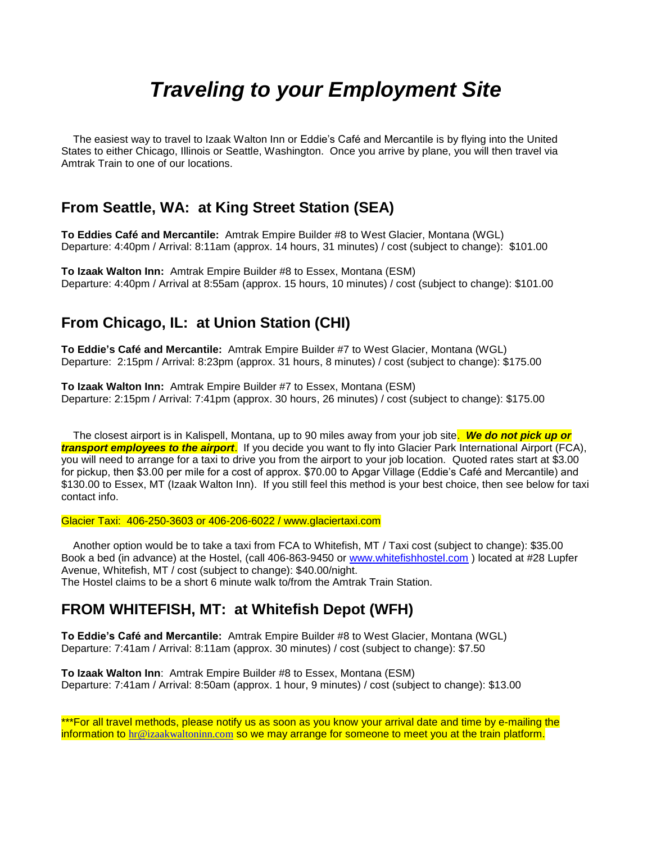## *Traveling to your Employment Site*

 The easiest way to travel to Izaak Walton Inn or Eddie's Café and Mercantile is by flying into the United States to either Chicago, Illinois or Seattle, Washington. Once you arrive by plane, you will then travel via Amtrak Train to one of our locations.

### **From Seattle, WA: at King Street Station (SEA)**

**To Eddies Café and Mercantile:** Amtrak Empire Builder #8 to West Glacier, Montana (WGL) Departure: 4:40pm / Arrival: 8:11am (approx. 14 hours, 31 minutes) / cost (subject to change): \$101.00

**To Izaak Walton Inn:** Amtrak Empire Builder #8 to Essex, Montana (ESM) Departure: 4:40pm / Arrival at 8:55am (approx. 15 hours, 10 minutes) / cost (subject to change): \$101.00

### **From Chicago, IL: at Union Station (CHI)**

**To Eddie's Café and Mercantile:** Amtrak Empire Builder #7 to West Glacier, Montana (WGL) Departure: 2:15pm / Arrival: 8:23pm (approx. 31 hours, 8 minutes) / cost (subject to change): \$175.00

**To Izaak Walton Inn:** Amtrak Empire Builder #7 to Essex, Montana (ESM) Departure: 2:15pm / Arrival: 7:41pm (approx. 30 hours, 26 minutes) / cost (subject to change): \$175.00

 The closest airport is in Kalispell, Montana, up to 90 miles away from your job site. *We do not pick up or transport employees to the airport*. If you decide you want to fly into Glacier Park International Airport (FCA), you will need to arrange for a taxi to drive you from the airport to your job location. Quoted rates start at \$3.00 for pickup, then \$3.00 per mile for a cost of approx. \$70.00 to Apgar Village (Eddie's Café and Mercantile) and \$130.00 to Essex, MT (Izaak Walton Inn). If you still feel this method is your best choice, then see below for taxi contact info.

Glacier Taxi: 406-250-3603 or 406-206-6022 / www.glaciertaxi.com

 Another option would be to take a taxi from FCA to Whitefish, MT / Taxi cost (subject to change): \$35.00 Book a bed (in advance) at the Hostel, (call 406-863-9450 or [www.whitefishhostel.com](http://www.whitefishhostel.com/) ) located at #28 Lupfer Avenue, Whitefish, MT / cost (subject to change): \$40.00/night. The Hostel claims to be a short 6 minute walk to/from the Amtrak Train Station.

### **FROM WHITEFISH, MT: at Whitefish Depot (WFH)**

**To Eddie's Café and Mercantile:** Amtrak Empire Builder #8 to West Glacier, Montana (WGL) Departure: 7:41am / Arrival: 8:11am (approx. 30 minutes) / cost (subject to change): \$7.50

**To Izaak Walton Inn**: Amtrak Empire Builder #8 to Essex, Montana (ESM) Departure: 7:41am / Arrival: 8:50am (approx. 1 hour, 9 minutes) / cost (subject to change): \$13.00

\*\*\*For all travel methods, please notify us as soon as you know your arrival date and time by e-mailing the information to [hr@izaakwaltoninn.com](mailto:hr@izaakwaltoninn.com) so we may arrange for someone to meet you at the train platform.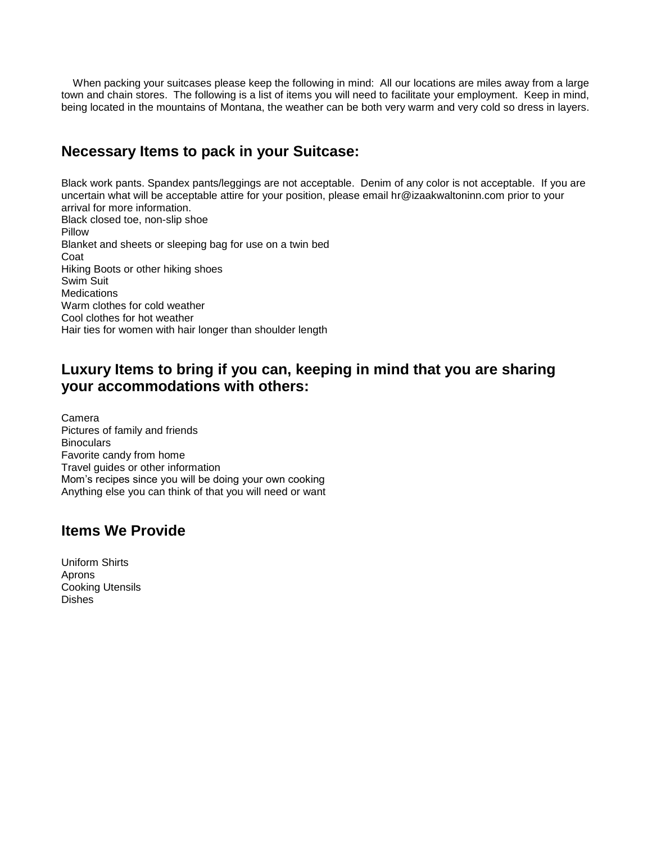When packing your suitcases please keep the following in mind: All our locations are miles away from a large town and chain stores. The following is a list of items you will need to facilitate your employment. Keep in mind, being located in the mountains of Montana, the weather can be both very warm and very cold so dress in layers.

### **Necessary Items to pack in your Suitcase:**

Black work pants. Spandex pants/leggings are not acceptable. Denim of any color is not acceptable. If you are uncertain what will be acceptable attire for your position, please email hr@izaakwaltoninn.com prior to your arrival for more information. Black closed toe, non-slip shoe Pillow Blanket and sheets or sleeping bag for use on a twin bed Coat Hiking Boots or other hiking shoes Swim Suit **Medications** Warm clothes for cold weather Cool clothes for hot weather Hair ties for women with hair longer than shoulder length

### **Luxury Items to bring if you can, keeping in mind that you are sharing your accommodations with others:**

Camera Pictures of family and friends **Binoculars** Favorite candy from home Travel guides or other information Mom's recipes since you will be doing your own cooking Anything else you can think of that you will need or want

### **Items We Provide**

Uniform Shirts Aprons Cooking Utensils Dishes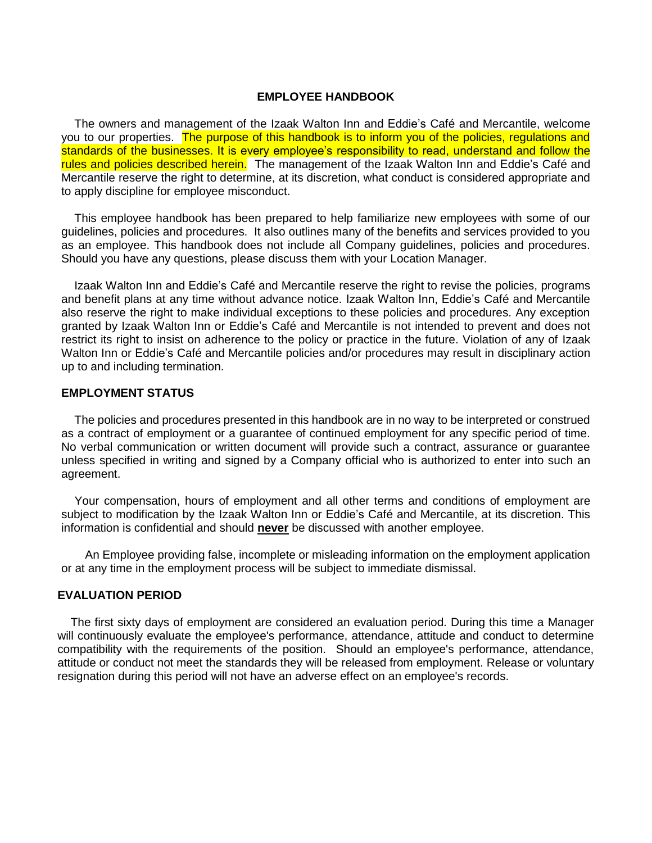#### **EMPLOYEE HANDBOOK**

 The owners and management of the Izaak Walton Inn and Eddie's Café and Mercantile, welcome you to our properties. The purpose of this handbook is to inform you of the policies, regulations and standards of the businesses. It is every employee's responsibility to read, understand and follow the rules and policies described herein. The management of the Izaak Walton Inn and Eddie's Café and Mercantile reserve the right to determine, at its discretion, what conduct is considered appropriate and to apply discipline for employee misconduct.

 This employee handbook has been prepared to help familiarize new employees with some of our guidelines, policies and procedures. It also outlines many of the benefits and services provided to you as an employee. This handbook does not include all Company guidelines, policies and procedures. Should you have any questions, please discuss them with your Location Manager.

 Izaak Walton Inn and Eddie's Café and Mercantile reserve the right to revise the policies, programs and benefit plans at any time without advance notice. Izaak Walton Inn, Eddie's Café and Mercantile also reserve the right to make individual exceptions to these policies and procedures. Any exception granted by Izaak Walton Inn or Eddie's Café and Mercantile is not intended to prevent and does not restrict its right to insist on adherence to the policy or practice in the future. Violation of any of Izaak Walton Inn or Eddie's Café and Mercantile policies and/or procedures may result in disciplinary action up to and including termination.

#### **EMPLOYMENT STATUS**

 The policies and procedures presented in this handbook are in no way to be interpreted or construed as a contract of employment or a guarantee of continued employment for any specific period of time. No verbal communication or written document will provide such a contract, assurance or guarantee unless specified in writing and signed by a Company official who is authorized to enter into such an agreement.

 Your compensation, hours of employment and all other terms and conditions of employment are subject to modification by the Izaak Walton Inn or Eddie's Café and Mercantile, at its discretion. This information is confidential and should **never** be discussed with another employee.

 An Employee providing false, incomplete or misleading information on the employment application or at any time in the employment process will be subject to immediate dismissal.

#### **EVALUATION PERIOD**

 The first sixty days of employment are considered an evaluation period. During this time a Manager will continuously evaluate the employee's performance, attendance, attitude and conduct to determine compatibility with the requirements of the position. Should an employee's performance, attendance, attitude or conduct not meet the standards they will be released from employment. Release or voluntary resignation during this period will not have an adverse effect on an employee's records.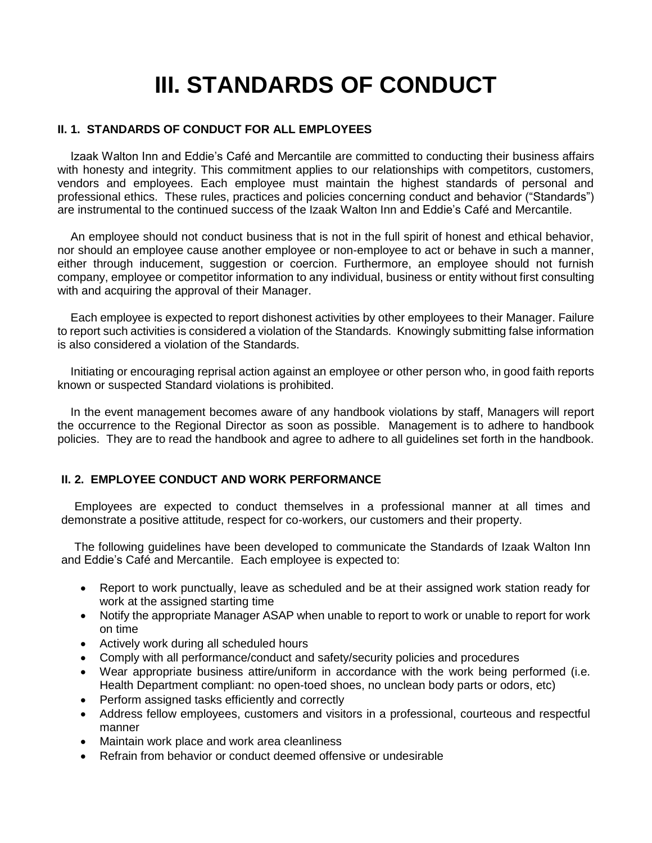# **III. STANDARDS OF CONDUCT**

#### **II. 1. STANDARDS OF CONDUCT FOR ALL EMPLOYEES**

 Izaak Walton Inn and Eddie's Café and Mercantile are committed to conducting their business affairs with honesty and integrity. This commitment applies to our relationships with competitors, customers, vendors and employees. Each employee must maintain the highest standards of personal and professional ethics. These rules, practices and policies concerning conduct and behavior ("Standards") are instrumental to the continued success of the Izaak Walton Inn and Eddie's Café and Mercantile.

 An employee should not conduct business that is not in the full spirit of honest and ethical behavior, nor should an employee cause another employee or non-employee to act or behave in such a manner, either through inducement, suggestion or coercion. Furthermore, an employee should not furnish company, employee or competitor information to any individual, business or entity without first consulting with and acquiring the approval of their Manager.

 Each employee is expected to report dishonest activities by other employees to their Manager. Failure to report such activities is considered a violation of the Standards. Knowingly submitting false information is also considered a violation of the Standards.

 Initiating or encouraging reprisal action against an employee or other person who, in good faith reports known or suspected Standard violations is prohibited.

 In the event management becomes aware of any handbook violations by staff, Managers will report the occurrence to the Regional Director as soon as possible. Management is to adhere to handbook policies. They are to read the handbook and agree to adhere to all guidelines set forth in the handbook.

#### **II. 2. EMPLOYEE CONDUCT AND WORK PERFORMANCE**

 Employees are expected to conduct themselves in a professional manner at all times and demonstrate a positive attitude, respect for co-workers, our customers and their property.

 The following guidelines have been developed to communicate the Standards of Izaak Walton Inn and Eddie's Café and Mercantile. Each employee is expected to:

- Report to work punctually, leave as scheduled and be at their assigned work station ready for work at the assigned starting time
- Notify the appropriate Manager ASAP when unable to report to work or unable to report for work on time
- Actively work during all scheduled hours
- Comply with all performance/conduct and safety/security policies and procedures
- Wear appropriate business attire/uniform in accordance with the work being performed (i.e. Health Department compliant: no open-toed shoes, no unclean body parts or odors, etc)
- Perform assigned tasks efficiently and correctly
- Address fellow employees, customers and visitors in a professional, courteous and respectful manner
- Maintain work place and work area cleanliness
- Refrain from behavior or conduct deemed offensive or undesirable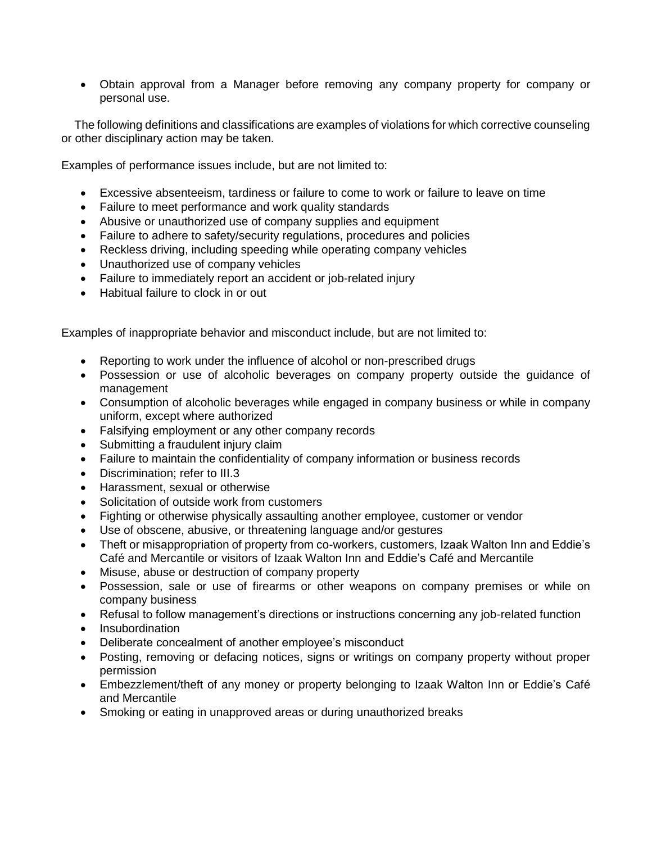• Obtain approval from a Manager before removing any company property for company or personal use.

 The following definitions and classifications are examples of violations for which corrective counseling or other disciplinary action may be taken.

Examples of performance issues include, but are not limited to:

- Excessive absenteeism, tardiness or failure to come to work or failure to leave on time
- Failure to meet performance and work quality standards
- Abusive or unauthorized use of company supplies and equipment
- Failure to adhere to safety/security regulations, procedures and policies
- Reckless driving, including speeding while operating company vehicles
- Unauthorized use of company vehicles
- Failure to immediately report an accident or job-related injury
- Habitual failure to clock in or out

Examples of inappropriate behavior and misconduct include, but are not limited to:

- Reporting to work under the influence of alcohol or non-prescribed drugs
- Possession or use of alcoholic beverages on company property outside the guidance of management
- Consumption of alcoholic beverages while engaged in company business or while in company uniform, except where authorized
- Falsifying employment or any other company records
- Submitting a fraudulent injury claim
- Failure to maintain the confidentiality of company information or business records
- Discrimination: refer to III.3
- Harassment, sexual or otherwise
- Solicitation of outside work from customers
- Fighting or otherwise physically assaulting another employee, customer or vendor
- Use of obscene, abusive, or threatening language and/or gestures
- Theft or misappropriation of property from co-workers, customers, Izaak Walton Inn and Eddie's Café and Mercantile or visitors of Izaak Walton Inn and Eddie's Café and Mercantile
- Misuse, abuse or destruction of company property
- Possession, sale or use of firearms or other weapons on company premises or while on company business
- Refusal to follow management's directions or instructions concerning any job-related function
- Insubordination
- Deliberate concealment of another employee's misconduct
- Posting, removing or defacing notices, signs or writings on company property without proper permission
- Embezzlement/theft of any money or property belonging to Izaak Walton Inn or Eddie's Café and Mercantile
- Smoking or eating in unapproved areas or during unauthorized breaks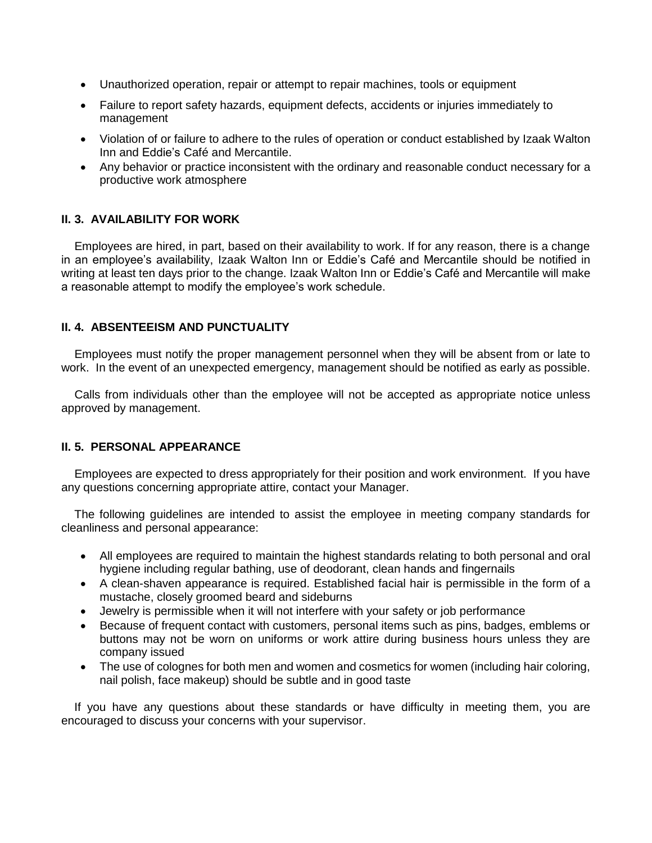- Unauthorized operation, repair or attempt to repair machines, tools or equipment
- Failure to report safety hazards, equipment defects, accidents or injuries immediately to management
- Violation of or failure to adhere to the rules of operation or conduct established by Izaak Walton Inn and Eddie's Café and Mercantile.
- Any behavior or practice inconsistent with the ordinary and reasonable conduct necessary for a productive work atmosphere

#### **II. 3. AVAILABILITY FOR WORK**

 Employees are hired, in part, based on their availability to work. If for any reason, there is a change in an employee's availability, Izaak Walton Inn or Eddie's Café and Mercantile should be notified in writing at least ten days prior to the change. Izaak Walton Inn or Eddie's Café and Mercantile will make a reasonable attempt to modify the employee's work schedule.

#### **II. 4. ABSENTEEISM AND PUNCTUALITY**

 Employees must notify the proper management personnel when they will be absent from or late to work. In the event of an unexpected emergency, management should be notified as early as possible.

 Calls from individuals other than the employee will not be accepted as appropriate notice unless approved by management.

#### **II. 5. PERSONAL APPEARANCE**

 Employees are expected to dress appropriately for their position and work environment. If you have any questions concerning appropriate attire, contact your Manager.

 The following guidelines are intended to assist the employee in meeting company standards for cleanliness and personal appearance:

- All employees are required to maintain the highest standards relating to both personal and oral hygiene including regular bathing, use of deodorant, clean hands and fingernails
- A clean-shaven appearance is required. Established facial hair is permissible in the form of a mustache, closely groomed beard and sideburns
- Jewelry is permissible when it will not interfere with your safety or job performance
- Because of frequent contact with customers, personal items such as pins, badges, emblems or buttons may not be worn on uniforms or work attire during business hours unless they are company issued
- The use of colognes for both men and women and cosmetics for women (including hair coloring, nail polish, face makeup) should be subtle and in good taste

 If you have any questions about these standards or have difficulty in meeting them, you are encouraged to discuss your concerns with your supervisor.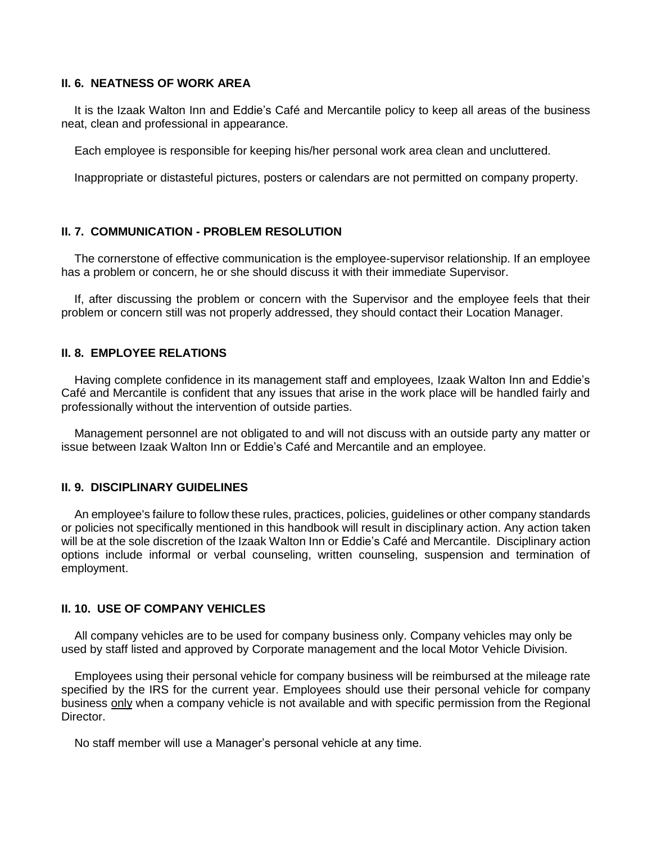#### **II. 6. NEATNESS OF WORK AREA**

 It is the Izaak Walton Inn and Eddie's Café and Mercantile policy to keep all areas of the business neat, clean and professional in appearance.

Each employee is responsible for keeping his/her personal work area clean and uncluttered.

Inappropriate or distasteful pictures, posters or calendars are not permitted on company property.

#### **II. 7. COMMUNICATION - PROBLEM RESOLUTION**

 The cornerstone of effective communication is the employee-supervisor relationship. If an employee has a problem or concern, he or she should discuss it with their immediate Supervisor.

 If, after discussing the problem or concern with the Supervisor and the employee feels that their problem or concern still was not properly addressed, they should contact their Location Manager.

#### **II. 8. EMPLOYEE RELATIONS**

 Having complete confidence in its management staff and employees, Izaak Walton Inn and Eddie's Café and Mercantile is confident that any issues that arise in the work place will be handled fairly and professionally without the intervention of outside parties.

 Management personnel are not obligated to and will not discuss with an outside party any matter or issue between Izaak Walton Inn or Eddie's Café and Mercantile and an employee.

#### **II. 9. DISCIPLINARY GUIDELINES**

 An employee's failure to follow these rules, practices, policies, guidelines or other company standards or policies not specifically mentioned in this handbook will result in disciplinary action. Any action taken will be at the sole discretion of the Izaak Walton Inn or Eddie's Café and Mercantile. Disciplinary action options include informal or verbal counseling, written counseling, suspension and termination of employment.

#### **II. 10. USE OF COMPANY VEHICLES**

 All company vehicles are to be used for company business only. Company vehicles may only be used by staff listed and approved by Corporate management and the local Motor Vehicle Division.

 Employees using their personal vehicle for company business will be reimbursed at the mileage rate specified by the IRS for the current year. Employees should use their personal vehicle for company business only when a company vehicle is not available and with specific permission from the Regional Director.

No staff member will use a Manager's personal vehicle at any time.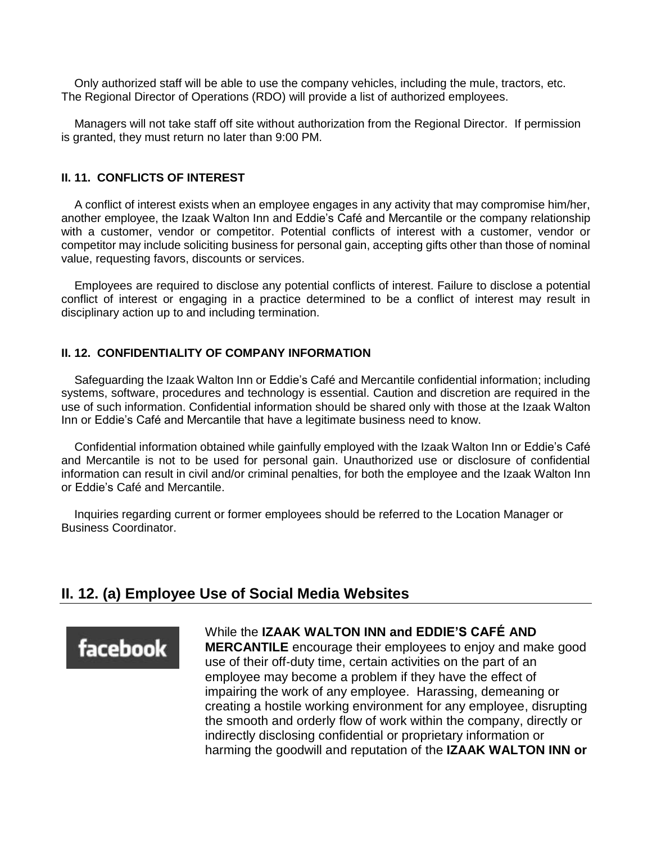Only authorized staff will be able to use the company vehicles, including the mule, tractors, etc. The Regional Director of Operations (RDO) will provide a list of authorized employees.

 Managers will not take staff off site without authorization from the Regional Director. If permission is granted, they must return no later than 9:00 PM.

#### **II. 11. CONFLICTS OF INTEREST**

 A conflict of interest exists when an employee engages in any activity that may compromise him/her, another employee, the Izaak Walton Inn and Eddie's Café and Mercantile or the company relationship with a customer, vendor or competitor. Potential conflicts of interest with a customer, vendor or competitor may include soliciting business for personal gain, accepting gifts other than those of nominal value, requesting favors, discounts or services.

 Employees are required to disclose any potential conflicts of interest. Failure to disclose a potential conflict of interest or engaging in a practice determined to be a conflict of interest may result in disciplinary action up to and including termination.

#### **II. 12. CONFIDENTIALITY OF COMPANY INFORMATION**

 Safeguarding the Izaak Walton Inn or Eddie's Café and Mercantile confidential information; including systems, software, procedures and technology is essential. Caution and discretion are required in the use of such information. Confidential information should be shared only with those at the Izaak Walton Inn or Eddie's Café and Mercantile that have a legitimate business need to know.

 Confidential information obtained while gainfully employed with the Izaak Walton Inn or Eddie's Café and Mercantile is not to be used for personal gain. Unauthorized use or disclosure of confidential information can result in civil and/or criminal penalties, for both the employee and the Izaak Walton Inn or Eddie's Café and Mercantile.

 Inquiries regarding current or former employees should be referred to the Location Manager or Business Coordinator.

### **II. 12. (a) Employee Use of Social Media Websites**

## facebook

While the **IZAAK WALTON INN and EDDIE'S CAFÉ AND**

**MERCANTILE** encourage their employees to enjoy and make good use of their off‐duty time, certain activities on the part of an employee may become a problem if they have the effect of impairing the work of any employee. Harassing, demeaning or creating a hostile working environment for any employee, disrupting the smooth and orderly flow of work within the company, directly or indirectly disclosing confidential or proprietary information or harming the goodwill and reputation of the **IZAAK WALTON INN or**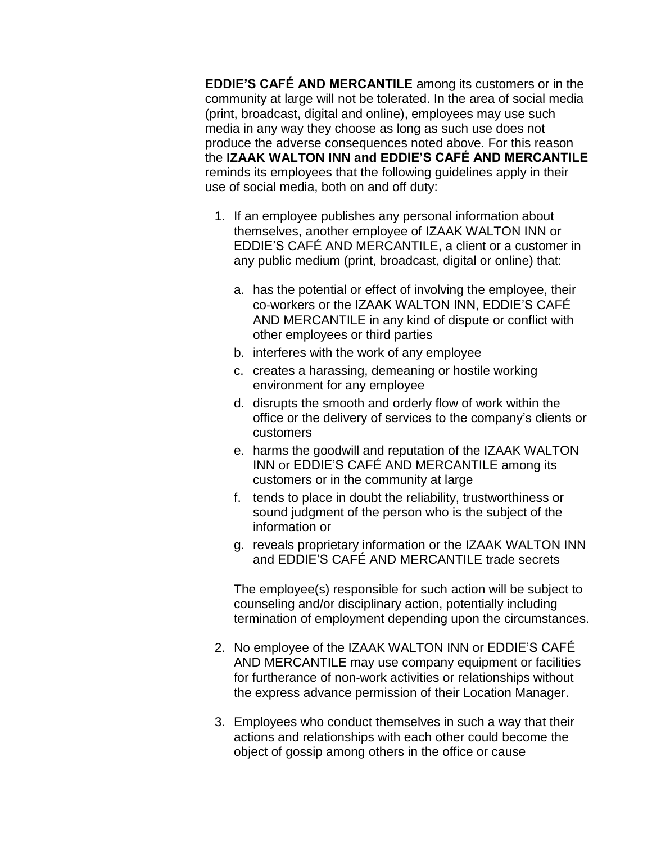**EDDIE'S CAFÉ AND MERCANTILE** among its customers or in the community at large will not be tolerated. In the area of social media (print, broadcast, digital and online), employees may use such media in any way they choose as long as such use does not produce the adverse consequences noted above. For this reason the **IZAAK WALTON INN and EDDIE'S CAFÉ AND MERCANTILE**  reminds its employees that the following guidelines apply in their use of social media, both on and off duty:

- 1. If an employee publishes any personal information about themselves, another employee of IZAAK WALTON INN or EDDIE'S CAFÉ AND MERCANTILE, a client or a customer in any public medium (print, broadcast, digital or online) that:
	- a. has the potential or effect of involving the employee, their co‐workers or the IZAAK WALTON INN, EDDIE'S CAFÉ AND MERCANTILE in any kind of dispute or conflict with other employees or third parties
	- b. interferes with the work of any employee
	- c. creates a harassing, demeaning or hostile working environment for any employee
	- d. disrupts the smooth and orderly flow of work within the office or the delivery of services to the company's clients or customers
	- e. harms the goodwill and reputation of the IZAAK WALTON INN or EDDIE'S CAFÉ AND MERCANTILE among its customers or in the community at large
	- f. tends to place in doubt the reliability, trustworthiness or sound judgment of the person who is the subject of the information or
	- g. reveals proprietary information or the IZAAK WALTON INN and EDDIE'S CAFÉ AND MERCANTILE trade secrets

The employee(s) responsible for such action will be subject to counseling and/or disciplinary action, potentially including termination of employment depending upon the circumstances.

- 2. No employee of the IZAAK WALTON INN or EDDIE'S CAFÉ AND MERCANTILE may use company equipment or facilities for furtherance of non‐work activities or relationships without the express advance permission of their Location Manager.
- 3. Employees who conduct themselves in such a way that their actions and relationships with each other could become the object of gossip among others in the office or cause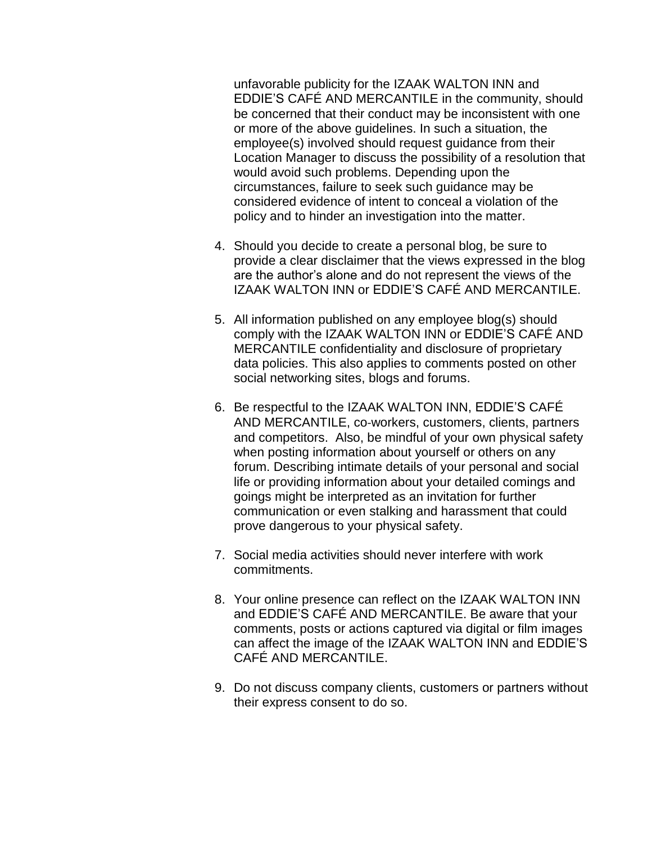unfavorable publicity for the IZAAK WALTON INN and EDDIE'S CAFÉ AND MERCANTILE in the community, should be concerned that their conduct may be inconsistent with one or more of the above guidelines. In such a situation, the employee(s) involved should request guidance from their Location Manager to discuss the possibility of a resolution that would avoid such problems. Depending upon the circumstances, failure to seek such guidance may be considered evidence of intent to conceal a violation of the policy and to hinder an investigation into the matter.

- 4. Should you decide to create a personal blog, be sure to provide a clear disclaimer that the views expressed in the blog are the author's alone and do not represent the views of the IZAAK WALTON INN or EDDIE'S CAFÉ AND MERCANTILE.
- 5. All information published on any employee blog(s) should comply with the IZAAK WALTON INN or EDDIE'S CAFÉ AND MERCANTILE confidentiality and disclosure of proprietary data policies. This also applies to comments posted on other social networking sites, blogs and forums.
- 6. Be respectful to the IZAAK WALTON INN, EDDIE'S CAFÉ AND MERCANTILE, co‐workers, customers, clients, partners and competitors. Also, be mindful of your own physical safety when posting information about yourself or others on any forum. Describing intimate details of your personal and social life or providing information about your detailed comings and goings might be interpreted as an invitation for further communication or even stalking and harassment that could prove dangerous to your physical safety.
- 7. Social media activities should never interfere with work commitments.
- 8. Your online presence can reflect on the IZAAK WALTON INN and EDDIE'S CAFÉ AND MERCANTILE. Be aware that your comments, posts or actions captured via digital or film images can affect the image of the IZAAK WALTON INN and EDDIE'S CAFÉ AND MERCANTILE.
- 9. Do not discuss company clients, customers or partners without their express consent to do so.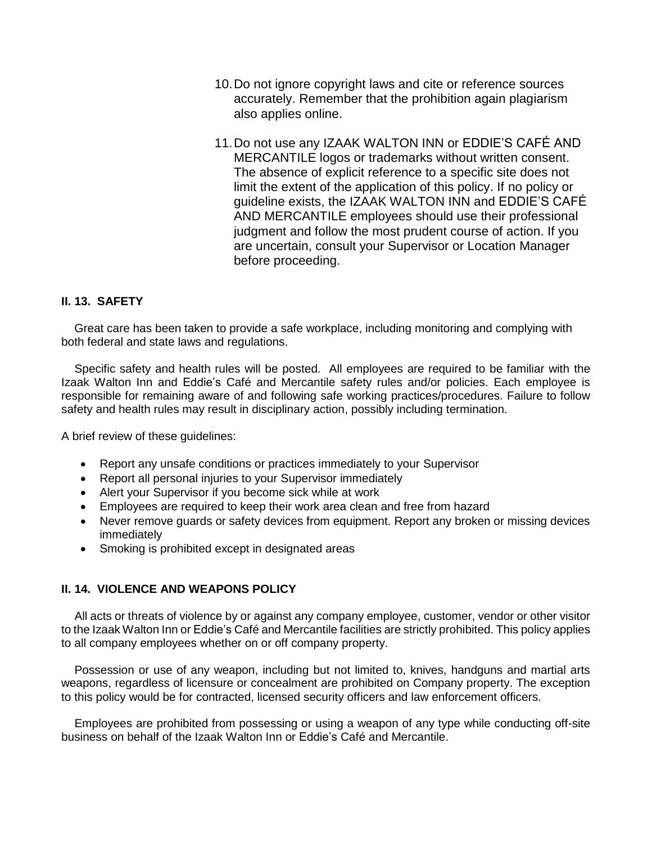- 10.Do not ignore copyright laws and cite or reference sources accurately. Remember that the prohibition again plagiarism also applies online.
- 11.Do not use any IZAAK WALTON INN or EDDIE'S CAFÉ AND MERCANTILE logos or trademarks without written consent. The absence of explicit reference to a specific site does not limit the extent of the application of this policy. If no policy or guideline exists, the IZAAK WALTON INN and EDDIE'S CAFÉ AND MERCANTILE employees should use their professional judgment and follow the most prudent course of action. If you are uncertain, consult your Supervisor or Location Manager before proceeding.

#### **II. 13. SAFETY**

 Great care has been taken to provide a safe workplace, including monitoring and complying with both federal and state laws and regulations.

 Specific safety and health rules will be posted. All employees are required to be familiar with the Izaak Walton Inn and Eddie's Café and Mercantile safety rules and/or policies. Each employee is responsible for remaining aware of and following safe working practices/procedures. Failure to follow safety and health rules may result in disciplinary action, possibly including termination.

A brief review of these guidelines:

- Report any unsafe conditions or practices immediately to your Supervisor
- Report all personal injuries to your Supervisor immediately
- Alert your Supervisor if you become sick while at work
- Employees are required to keep their work area clean and free from hazard
- Never remove guards or safety devices from equipment. Report any broken or missing devices immediately
- Smoking is prohibited except in designated areas

#### **II. 14. VIOLENCE AND WEAPONS POLICY**

 All acts or threats of violence by or against any company employee, customer, vendor or other visitor to the Izaak Walton Inn or Eddie's Café and Mercantile facilities are strictly prohibited. This policy applies to all company employees whether on or off company property.

 Possession or use of any weapon, including but not limited to, knives, handguns and martial arts weapons, regardless of licensure or concealment are prohibited on Company property. The exception to this policy would be for contracted, licensed security officers and law enforcement officers.

 Employees are prohibited from possessing or using a weapon of any type while conducting off-site business on behalf of the Izaak Walton Inn or Eddie's Café and Mercantile.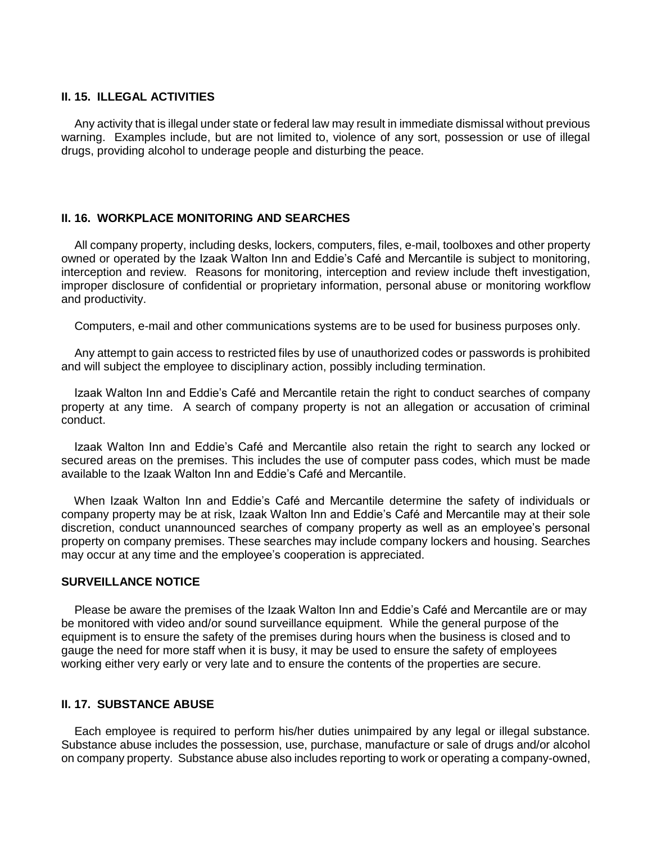#### **II. 15. ILLEGAL ACTIVITIES**

 Any activity that is illegal under state or federal law may result in immediate dismissal without previous warning. Examples include, but are not limited to, violence of any sort, possession or use of illegal drugs, providing alcohol to underage people and disturbing the peace.

#### **II. 16. WORKPLACE MONITORING AND SEARCHES**

 All company property, including desks, lockers, computers, files, e-mail, toolboxes and other property owned or operated by the Izaak Walton Inn and Eddie's Café and Mercantile is subject to monitoring, interception and review. Reasons for monitoring, interception and review include theft investigation, improper disclosure of confidential or proprietary information, personal abuse or monitoring workflow and productivity.

Computers, e-mail and other communications systems are to be used for business purposes only.

 Any attempt to gain access to restricted files by use of unauthorized codes or passwords is prohibited and will subject the employee to disciplinary action, possibly including termination.

 Izaak Walton Inn and Eddie's Café and Mercantile retain the right to conduct searches of company property at any time. A search of company property is not an allegation or accusation of criminal conduct.

 Izaak Walton Inn and Eddie's Café and Mercantile also retain the right to search any locked or secured areas on the premises. This includes the use of computer pass codes, which must be made available to the Izaak Walton Inn and Eddie's Café and Mercantile.

 When Izaak Walton Inn and Eddie's Café and Mercantile determine the safety of individuals or company property may be at risk, Izaak Walton Inn and Eddie's Café and Mercantile may at their sole discretion, conduct unannounced searches of company property as well as an employee's personal property on company premises. These searches may include company lockers and housing. Searches may occur at any time and the employee's cooperation is appreciated.

#### **SURVEILLANCE NOTICE**

 Please be aware the premises of the Izaak Walton Inn and Eddie's Café and Mercantile are or may be monitored with video and/or sound surveillance equipment. While the general purpose of the equipment is to ensure the safety of the premises during hours when the business is closed and to gauge the need for more staff when it is busy, it may be used to ensure the safety of employees working either very early or very late and to ensure the contents of the properties are secure.

#### **II. 17. SUBSTANCE ABUSE**

 Each employee is required to perform his/her duties unimpaired by any legal or illegal substance. Substance abuse includes the possession, use, purchase, manufacture or sale of drugs and/or alcohol on company property. Substance abuse also includes reporting to work or operating a company-owned,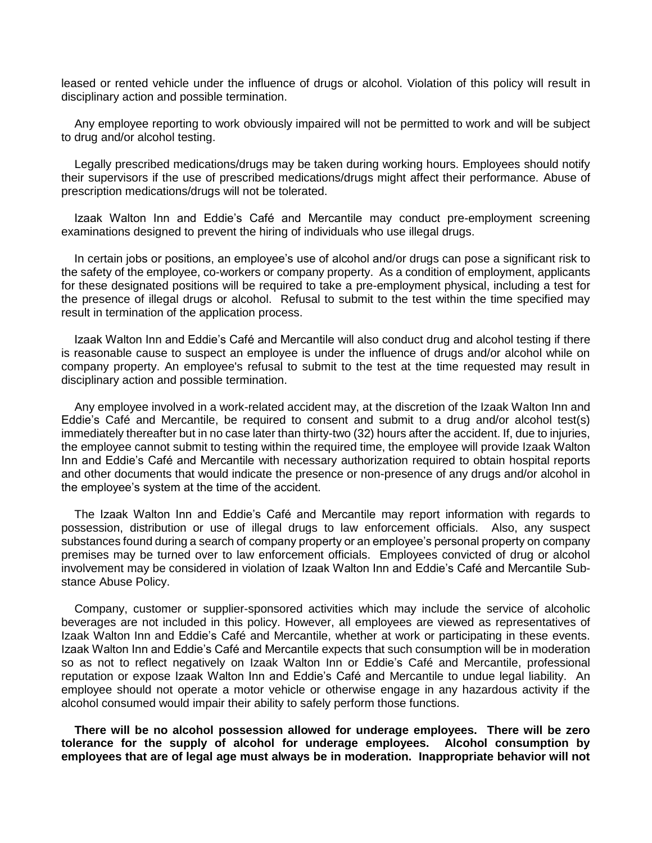leased or rented vehicle under the influence of drugs or alcohol. Violation of this policy will result in disciplinary action and possible termination.

 Any employee reporting to work obviously impaired will not be permitted to work and will be subject to drug and/or alcohol testing.

 Legally prescribed medications/drugs may be taken during working hours. Employees should notify their supervisors if the use of prescribed medications/drugs might affect their performance. Abuse of prescription medications/drugs will not be tolerated.

 Izaak Walton Inn and Eddie's Café and Mercantile may conduct pre-employment screening examinations designed to prevent the hiring of individuals who use illegal drugs.

 In certain jobs or positions, an employee's use of alcohol and/or drugs can pose a significant risk to the safety of the employee, co-workers or company property. As a condition of employment, applicants for these designated positions will be required to take a pre-employment physical, including a test for the presence of illegal drugs or alcohol. Refusal to submit to the test within the time specified may result in termination of the application process.

 Izaak Walton Inn and Eddie's Café and Mercantile will also conduct drug and alcohol testing if there is reasonable cause to suspect an employee is under the influence of drugs and/or alcohol while on company property. An employee's refusal to submit to the test at the time requested may result in disciplinary action and possible termination.

 Any employee involved in a work-related accident may, at the discretion of the Izaak Walton Inn and Eddie's Café and Mercantile, be required to consent and submit to a drug and/or alcohol test(s) immediately thereafter but in no case later than thirty-two (32) hours after the accident. If, due to injuries, the employee cannot submit to testing within the required time, the employee will provide Izaak Walton Inn and Eddie's Café and Mercantile with necessary authorization required to obtain hospital reports and other documents that would indicate the presence or non-presence of any drugs and/or alcohol in the employee's system at the time of the accident.

 The Izaak Walton Inn and Eddie's Café and Mercantile may report information with regards to possession, distribution or use of illegal drugs to law enforcement officials. Also, any suspect substances found during a search of company property or an employee's personal property on company premises may be turned over to law enforcement officials. Employees convicted of drug or alcohol involvement may be considered in violation of Izaak Walton Inn and Eddie's Café and Mercantile Substance Abuse Policy.

 Company, customer or supplier-sponsored activities which may include the service of alcoholic beverages are not included in this policy. However, all employees are viewed as representatives of Izaak Walton Inn and Eddie's Café and Mercantile, whether at work or participating in these events. Izaak Walton Inn and Eddie's Café and Mercantile expects that such consumption will be in moderation so as not to reflect negatively on Izaak Walton Inn or Eddie's Café and Mercantile, professional reputation or expose Izaak Walton Inn and Eddie's Café and Mercantile to undue legal liability. An employee should not operate a motor vehicle or otherwise engage in any hazardous activity if the alcohol consumed would impair their ability to safely perform those functions.

 **There will be no alcohol possession allowed for underage employees. There will be zero tolerance for the supply of alcohol for underage employees. Alcohol consumption by employees that are of legal age must always be in moderation. Inappropriate behavior will not**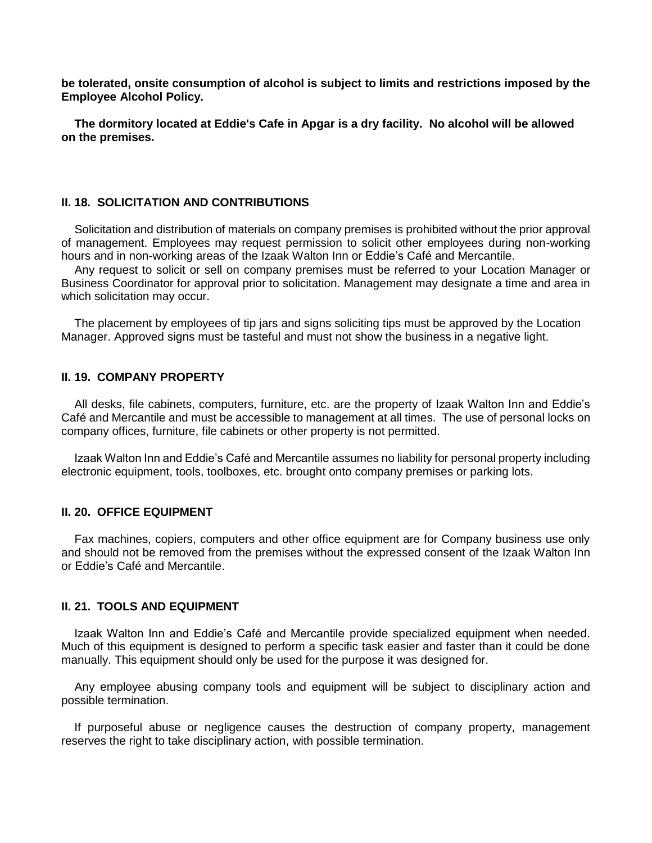**be tolerated, onsite consumption of alcohol is subject to limits and restrictions imposed by the Employee Alcohol Policy.** 

 **The dormitory located at Eddie's Cafe in Apgar is a dry facility. No alcohol will be allowed on the premises.**

#### **II. 18. SOLICITATION AND CONTRIBUTIONS**

 Solicitation and distribution of materials on company premises is prohibited without the prior approval of management. Employees may request permission to solicit other employees during non-working hours and in non-working areas of the Izaak Walton Inn or Eddie's Café and Mercantile.

 Any request to solicit or sell on company premises must be referred to your Location Manager or Business Coordinator for approval prior to solicitation. Management may designate a time and area in which solicitation may occur.

 The placement by employees of tip jars and signs soliciting tips must be approved by the Location Manager. Approved signs must be tasteful and must not show the business in a negative light.

#### **II. 19. COMPANY PROPERTY**

 All desks, file cabinets, computers, furniture, etc. are the property of Izaak Walton Inn and Eddie's Café and Mercantile and must be accessible to management at all times. The use of personal locks on company offices, furniture, file cabinets or other property is not permitted.

 Izaak Walton Inn and Eddie's Café and Mercantile assumes no liability for personal property including electronic equipment, tools, toolboxes, etc. brought onto company premises or parking lots.

#### **II. 20. OFFICE EQUIPMENT**

 Fax machines, copiers, computers and other office equipment are for Company business use only and should not be removed from the premises without the expressed consent of the Izaak Walton Inn or Eddie's Café and Mercantile.

#### **II. 21. TOOLS AND EQUIPMENT**

 Izaak Walton Inn and Eddie's Café and Mercantile provide specialized equipment when needed. Much of this equipment is designed to perform a specific task easier and faster than it could be done manually. This equipment should only be used for the purpose it was designed for.

 Any employee abusing company tools and equipment will be subject to disciplinary action and possible termination.

 If purposeful abuse or negligence causes the destruction of company property, management reserves the right to take disciplinary action, with possible termination.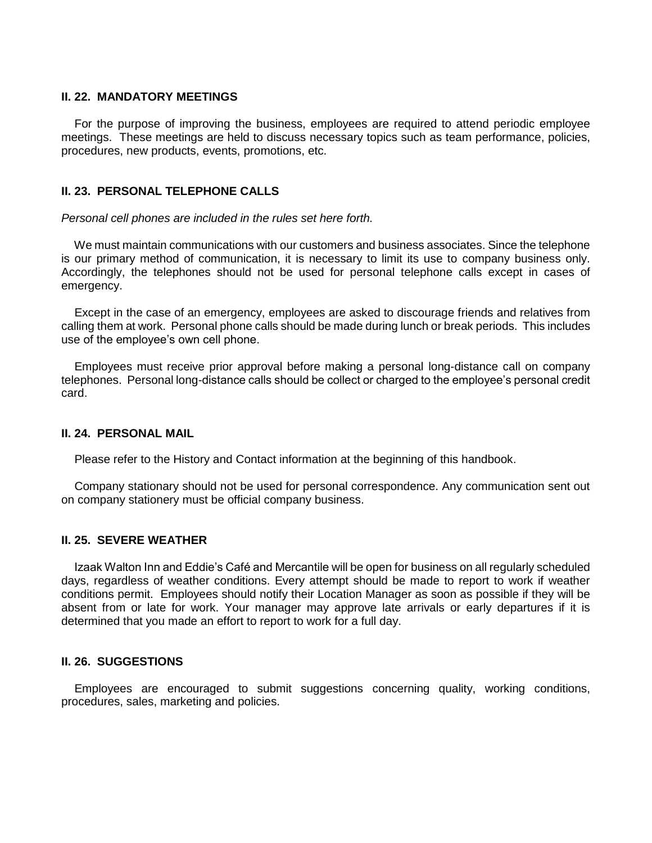#### **II. 22. MANDATORY MEETINGS**

 For the purpose of improving the business, employees are required to attend periodic employee meetings. These meetings are held to discuss necessary topics such as team performance, policies, procedures, new products, events, promotions, etc.

#### **II. 23. PERSONAL TELEPHONE CALLS**

*Personal cell phones are included in the rules set here forth.*

 We must maintain communications with our customers and business associates. Since the telephone is our primary method of communication, it is necessary to limit its use to company business only. Accordingly, the telephones should not be used for personal telephone calls except in cases of emergency.

 Except in the case of an emergency, employees are asked to discourage friends and relatives from calling them at work. Personal phone calls should be made during lunch or break periods. This includes use of the employee's own cell phone.

 Employees must receive prior approval before making a personal long-distance call on company telephones. Personal long-distance calls should be collect or charged to the employee's personal credit card.

#### **II. 24. PERSONAL MAIL**

Please refer to the History and Contact information at the beginning of this handbook.

 Company stationary should not be used for personal correspondence. Any communication sent out on company stationery must be official company business.

#### **II. 25. SEVERE WEATHER**

 Izaak Walton Inn and Eddie's Café and Mercantile will be open for business on all regularly scheduled days, regardless of weather conditions. Every attempt should be made to report to work if weather conditions permit. Employees should notify their Location Manager as soon as possible if they will be absent from or late for work. Your manager may approve late arrivals or early departures if it is determined that you made an effort to report to work for a full day.

#### **II. 26. SUGGESTIONS**

 Employees are encouraged to submit suggestions concerning quality, working conditions, procedures, sales, marketing and policies.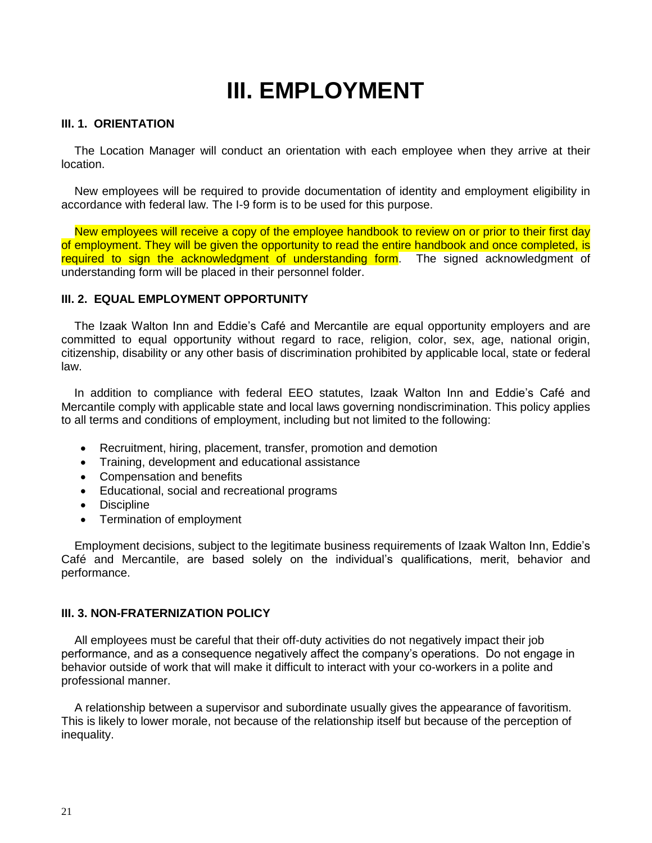## **III. EMPLOYMENT**

#### **III. 1. ORIENTATION**

 The Location Manager will conduct an orientation with each employee when they arrive at their location.

 New employees will be required to provide documentation of identity and employment eligibility in accordance with federal law. The I-9 form is to be used for this purpose.

New employees will receive a copy of the employee handbook to review on or prior to their first day of employment. They will be given the opportunity to read the entire handbook and once completed, is required to sign the acknowledgment of understanding form. The signed acknowledgment of understanding form will be placed in their personnel folder.

#### **III. 2. EQUAL EMPLOYMENT OPPORTUNITY**

 The Izaak Walton Inn and Eddie's Café and Mercantile are equal opportunity employers and are committed to equal opportunity without regard to race, religion, color, sex, age, national origin, citizenship, disability or any other basis of discrimination prohibited by applicable local, state or federal law.

 In addition to compliance with federal EEO statutes, Izaak Walton Inn and Eddie's Café and Mercantile comply with applicable state and local laws governing nondiscrimination. This policy applies to all terms and conditions of employment, including but not limited to the following:

- Recruitment, hiring, placement, transfer, promotion and demotion
- Training, development and educational assistance
- Compensation and benefits
- Educational, social and recreational programs
- Discipline
- Termination of employment

 Employment decisions, subject to the legitimate business requirements of Izaak Walton Inn, Eddie's Café and Mercantile, are based solely on the individual's qualifications, merit, behavior and performance.

#### **III. 3. NON-FRATERNIZATION POLICY**

 All employees must be careful that their off-duty activities do not negatively impact their job performance, and as a consequence negatively affect the company's operations. Do not engage in behavior outside of work that will make it difficult to interact with your co-workers in a polite and professional manner.

 A relationship between a supervisor and subordinate usually gives the appearance of favoritism. This is likely to lower morale, not because of the relationship itself but because of the perception of inequality.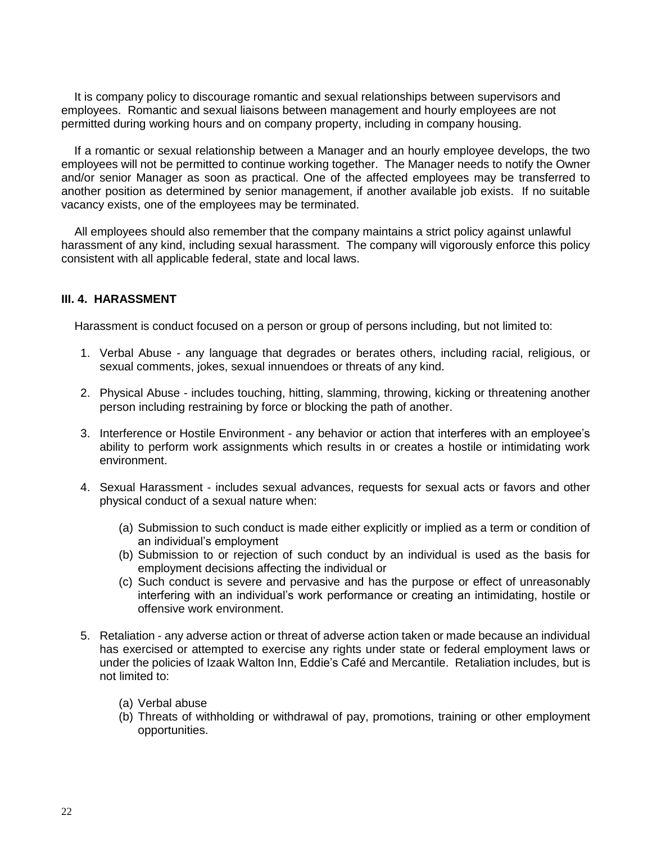It is company policy to discourage romantic and sexual relationships between supervisors and employees. Romantic and sexual liaisons between management and hourly employees are not permitted during working hours and on company property, including in company housing.

 If a romantic or sexual relationship between a Manager and an hourly employee develops, the two employees will not be permitted to continue working together. The Manager needs to notify the Owner and/or senior Manager as soon as practical. One of the affected employees may be transferred to another position as determined by senior management, if another available job exists. If no suitable vacancy exists, one of the employees may be terminated.

 All employees should also remember that the company maintains a strict policy against unlawful harassment of any kind, including sexual harassment. The company will vigorously enforce this policy consistent with all applicable federal, state and local laws.

#### **III. 4. HARASSMENT**

Harassment is conduct focused on a person or group of persons including, but not limited to:

- 1. Verbal Abuse any language that degrades or berates others, including racial, religious, or sexual comments, jokes, sexual innuendoes or threats of any kind.
- 2. Physical Abuse includes touching, hitting, slamming, throwing, kicking or threatening another person including restraining by force or blocking the path of another.
- 3. Interference or Hostile Environment any behavior or action that interferes with an employee's ability to perform work assignments which results in or creates a hostile or intimidating work environment.
- 4. Sexual Harassment includes sexual advances, requests for sexual acts or favors and other physical conduct of a sexual nature when:
	- (a) Submission to such conduct is made either explicitly or implied as a term or condition of an individual's employment
	- (b) Submission to or rejection of such conduct by an individual is used as the basis for employment decisions affecting the individual or
	- (c) Such conduct is severe and pervasive and has the purpose or effect of unreasonably interfering with an individual's work performance or creating an intimidating, hostile or offensive work environment.
- 5. Retaliation any adverse action or threat of adverse action taken or made because an individual has exercised or attempted to exercise any rights under state or federal employment laws or under the policies of Izaak Walton Inn, Eddie's Café and Mercantile. Retaliation includes, but is not limited to:
	- (a) Verbal abuse
	- (b) Threats of withholding or withdrawal of pay, promotions, training or other employment opportunities.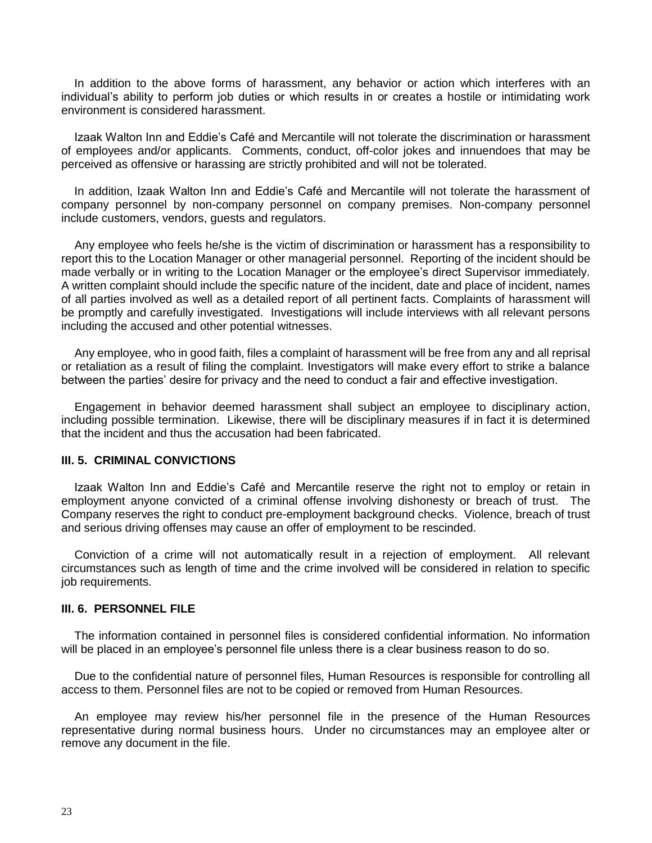In addition to the above forms of harassment, any behavior or action which interferes with an individual's ability to perform job duties or which results in or creates a hostile or intimidating work environment is considered harassment.

 Izaak Walton Inn and Eddie's Café and Mercantile will not tolerate the discrimination or harassment of employees and/or applicants. Comments, conduct, off-color jokes and innuendoes that may be perceived as offensive or harassing are strictly prohibited and will not be tolerated.

 In addition, Izaak Walton Inn and Eddie's Café and Mercantile will not tolerate the harassment of company personnel by non-company personnel on company premises. Non-company personnel include customers, vendors, guests and regulators.

 Any employee who feels he/she is the victim of discrimination or harassment has a responsibility to report this to the Location Manager or other managerial personnel. Reporting of the incident should be made verbally or in writing to the Location Manager or the employee's direct Supervisor immediately. A written complaint should include the specific nature of the incident, date and place of incident, names of all parties involved as well as a detailed report of all pertinent facts. Complaints of harassment will be promptly and carefully investigated. Investigations will include interviews with all relevant persons including the accused and other potential witnesses.

 Any employee, who in good faith, files a complaint of harassment will be free from any and all reprisal or retaliation as a result of filing the complaint. Investigators will make every effort to strike a balance between the parties' desire for privacy and the need to conduct a fair and effective investigation.

 Engagement in behavior deemed harassment shall subject an employee to disciplinary action, including possible termination. Likewise, there will be disciplinary measures if in fact it is determined that the incident and thus the accusation had been fabricated.

#### **III. 5. CRIMINAL CONVICTIONS**

 Izaak Walton Inn and Eddie's Café and Mercantile reserve the right not to employ or retain in employment anyone convicted of a criminal offense involving dishonesty or breach of trust. The Company reserves the right to conduct pre-employment background checks. Violence, breach of trust and serious driving offenses may cause an offer of employment to be rescinded.

 Conviction of a crime will not automatically result in a rejection of employment. All relevant circumstances such as length of time and the crime involved will be considered in relation to specific job requirements.

#### **III. 6. PERSONNEL FILE**

 The information contained in personnel files is considered confidential information. No information will be placed in an employee's personnel file unless there is a clear business reason to do so.

 Due to the confidential nature of personnel files, Human Resources is responsible for controlling all access to them. Personnel files are not to be copied or removed from Human Resources.

 An employee may review his/her personnel file in the presence of the Human Resources representative during normal business hours. Under no circumstances may an employee alter or remove any document in the file.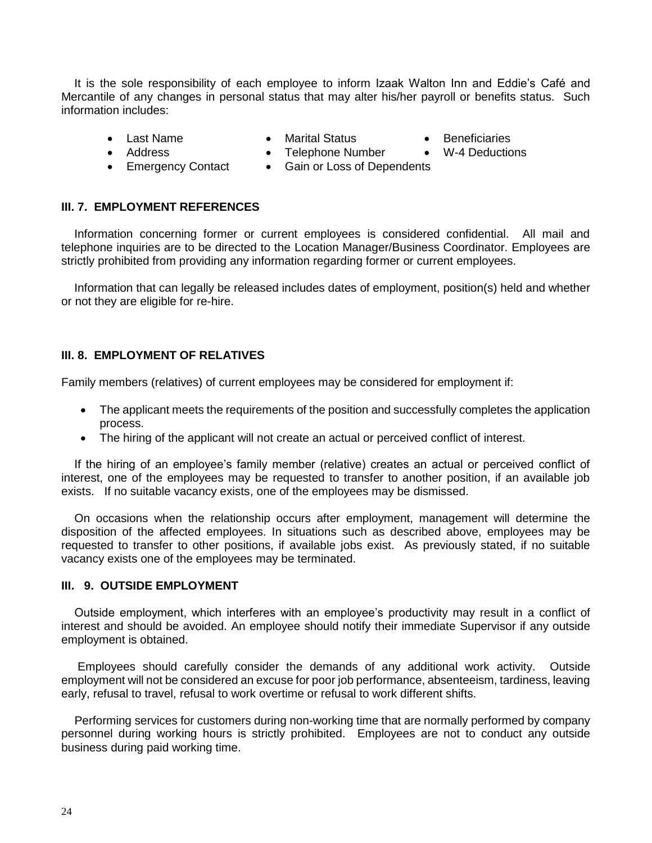It is the sole responsibility of each employee to inform Izaak Walton Inn and Eddie's Café and Mercantile of any changes in personal status that may alter his/her payroll or benefits status. Such information includes:

- 
- Last Name Marital Status Beneficiaries
- 
- Address Telephone Number W-4 Deductions
- 
- Emergency Contact Gain or Loss of Dependents

#### **III. 7. EMPLOYMENT REFERENCES**

 Information concerning former or current employees is considered confidential. All mail and telephone inquiries are to be directed to the Location Manager/Business Coordinator. Employees are strictly prohibited from providing any information regarding former or current employees.

 Information that can legally be released includes dates of employment, position(s) held and whether or not they are eligible for re-hire.

#### **III. 8. EMPLOYMENT OF RELATIVES**

Family members (relatives) of current employees may be considered for employment if:

- The applicant meets the requirements of the position and successfully completes the application process.
- The hiring of the applicant will not create an actual or perceived conflict of interest.

 If the hiring of an employee's family member (relative) creates an actual or perceived conflict of interest, one of the employees may be requested to transfer to another position, if an available job exists. If no suitable vacancy exists, one of the employees may be dismissed.

 On occasions when the relationship occurs after employment, management will determine the disposition of the affected employees. In situations such as described above, employees may be requested to transfer to other positions, if available jobs exist. As previously stated, if no suitable vacancy exists one of the employees may be terminated.

#### **III. 9. OUTSIDE EMPLOYMENT**

 Outside employment, which interferes with an employee's productivity may result in a conflict of interest and should be avoided. An employee should notify their immediate Supervisor if any outside employment is obtained.

 Employees should carefully consider the demands of any additional work activity. Outside employment will not be considered an excuse for poor job performance, absenteeism, tardiness, leaving early, refusal to travel, refusal to work overtime or refusal to work different shifts.

 Performing services for customers during non-working time that are normally performed by company personnel during working hours is strictly prohibited. Employees are not to conduct any outside business during paid working time.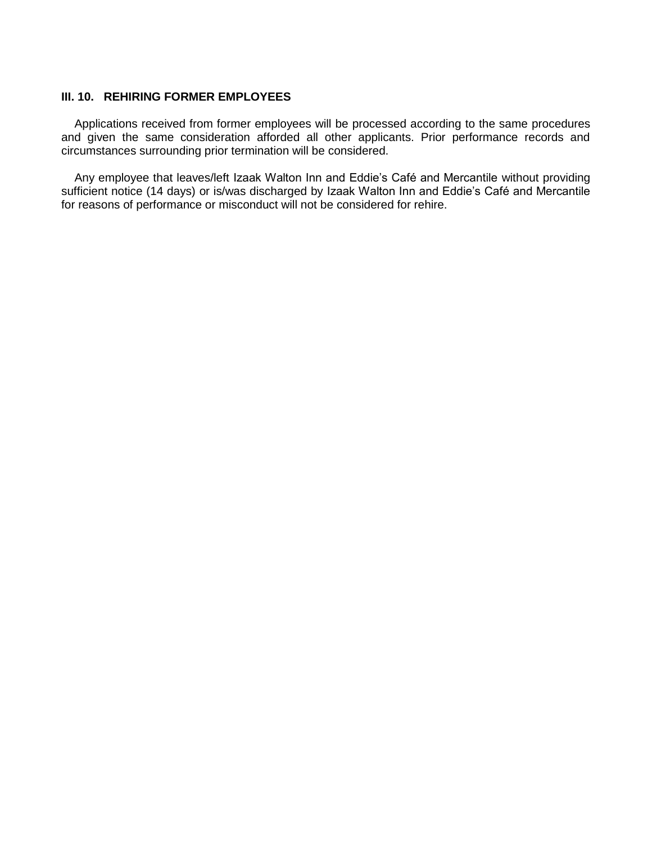#### **III. 10. REHIRING FORMER EMPLOYEES**

 Applications received from former employees will be processed according to the same procedures and given the same consideration afforded all other applicants. Prior performance records and circumstances surrounding prior termination will be considered.

 Any employee that leaves/left Izaak Walton Inn and Eddie's Café and Mercantile without providing sufficient notice (14 days) or is/was discharged by Izaak Walton Inn and Eddie's Café and Mercantile for reasons of performance or misconduct will not be considered for rehire.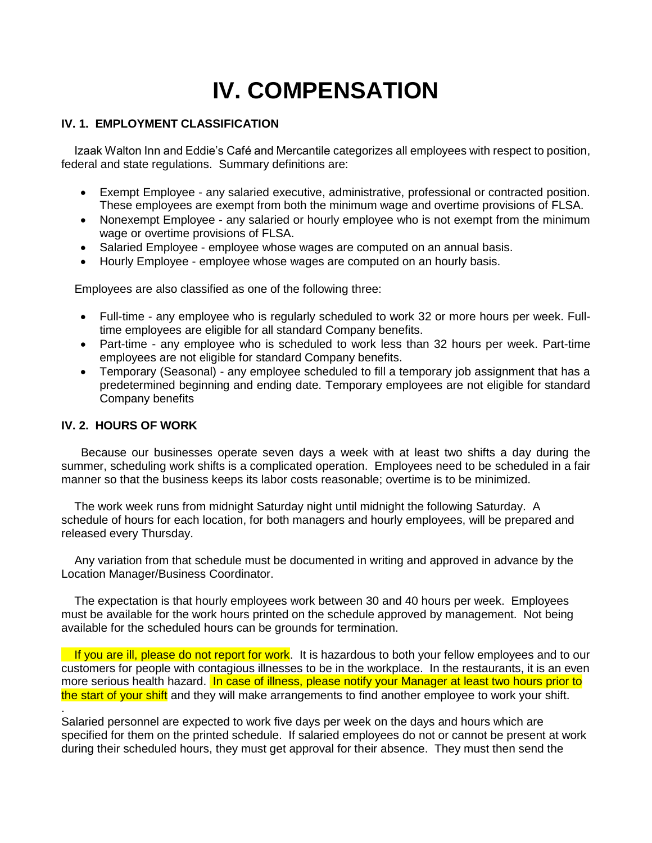# **IV. COMPENSATION**

#### **IV. 1. EMPLOYMENT CLASSIFICATION**

 Izaak Walton Inn and Eddie's Café and Mercantile categorizes all employees with respect to position, federal and state regulations. Summary definitions are:

- Exempt Employee any salaried executive, administrative, professional or contracted position. These employees are exempt from both the minimum wage and overtime provisions of FLSA.
- Nonexempt Employee any salaried or hourly employee who is not exempt from the minimum wage or overtime provisions of FLSA.
- Salaried Employee employee whose wages are computed on an annual basis.
- Hourly Employee employee whose wages are computed on an hourly basis.

Employees are also classified as one of the following three:

- Full-time any employee who is regularly scheduled to work 32 or more hours per week. Fulltime employees are eligible for all standard Company benefits.
- Part-time any employee who is scheduled to work less than 32 hours per week. Part-time employees are not eligible for standard Company benefits.
- Temporary (Seasonal) any employee scheduled to fill a temporary job assignment that has a predetermined beginning and ending date. Temporary employees are not eligible for standard Company benefits

#### **IV. 2. HOURS OF WORK**

.

 Because our businesses operate seven days a week with at least two shifts a day during the summer, scheduling work shifts is a complicated operation. Employees need to be scheduled in a fair manner so that the business keeps its labor costs reasonable; overtime is to be minimized.

 The work week runs from midnight Saturday night until midnight the following Saturday. A schedule of hours for each location, for both managers and hourly employees, will be prepared and released every Thursday.

 Any variation from that schedule must be documented in writing and approved in advance by the Location Manager/Business Coordinator.

 The expectation is that hourly employees work between 30 and 40 hours per week. Employees must be available for the work hours printed on the schedule approved by management. Not being available for the scheduled hours can be grounds for termination.

If you are ill, please do not report for work. It is hazardous to both your fellow employees and to our customers for people with contagious illnesses to be in the workplace. In the restaurants, it is an even more serious health hazard. In case of illness, please notify your Manager at least two hours prior to the start of your shift and they will make arrangements to find another employee to work your shift.

Salaried personnel are expected to work five days per week on the days and hours which are specified for them on the printed schedule. If salaried employees do not or cannot be present at work during their scheduled hours, they must get approval for their absence. They must then send the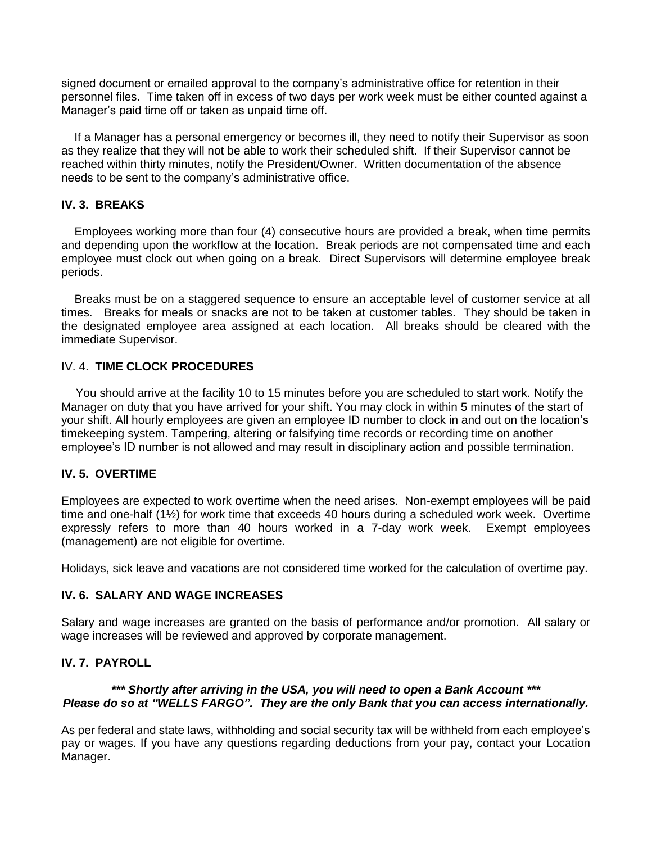signed document or emailed approval to the company's administrative office for retention in their personnel files. Time taken off in excess of two days per work week must be either counted against a Manager's paid time off or taken as unpaid time off.

 If a Manager has a personal emergency or becomes ill, they need to notify their Supervisor as soon as they realize that they will not be able to work their scheduled shift. If their Supervisor cannot be reached within thirty minutes, notify the President/Owner. Written documentation of the absence needs to be sent to the company's administrative office.

#### **IV. 3. BREAKS**

 Employees working more than four (4) consecutive hours are provided a break, when time permits and depending upon the workflow at the location. Break periods are not compensated time and each employee must clock out when going on a break. Direct Supervisors will determine employee break periods.

 Breaks must be on a staggered sequence to ensure an acceptable level of customer service at all times. Breaks for meals or snacks are not to be taken at customer tables. They should be taken in the designated employee area assigned at each location. All breaks should be cleared with the immediate Supervisor.

#### IV. 4. **TIME CLOCK PROCEDURES**

You should arrive at the facility 10 to 15 minutes before you are scheduled to start work. Notify the Manager on duty that you have arrived for your shift. You may clock in within 5 minutes of the start of your shift. All hourly employees are given an employee ID number to clock in and out on the location's timekeeping system. Tampering, altering or falsifying time records or recording time on another employee's ID number is not allowed and may result in disciplinary action and possible termination.

#### **IV. 5. OVERTIME**

Employees are expected to work overtime when the need arises. Non-exempt employees will be paid time and one-half (1½) for work time that exceeds 40 hours during a scheduled work week. Overtime expressly refers to more than 40 hours worked in a 7-day work week. Exempt employees (management) are not eligible for overtime.

Holidays, sick leave and vacations are not considered time worked for the calculation of overtime pay.

#### **IV. 6. SALARY AND WAGE INCREASES**

Salary and wage increases are granted on the basis of performance and/or promotion. All salary or wage increases will be reviewed and approved by corporate management.

#### **IV. 7. PAYROLL**

#### *\*\*\* Shortly after arriving in the USA, you will need to open a Bank Account \*\*\* Please do so at "WELLS FARGO". They are the only Bank that you can access internationally.*

As per federal and state laws, withholding and social security tax will be withheld from each employee's pay or wages. If you have any questions regarding deductions from your pay, contact your Location Manager.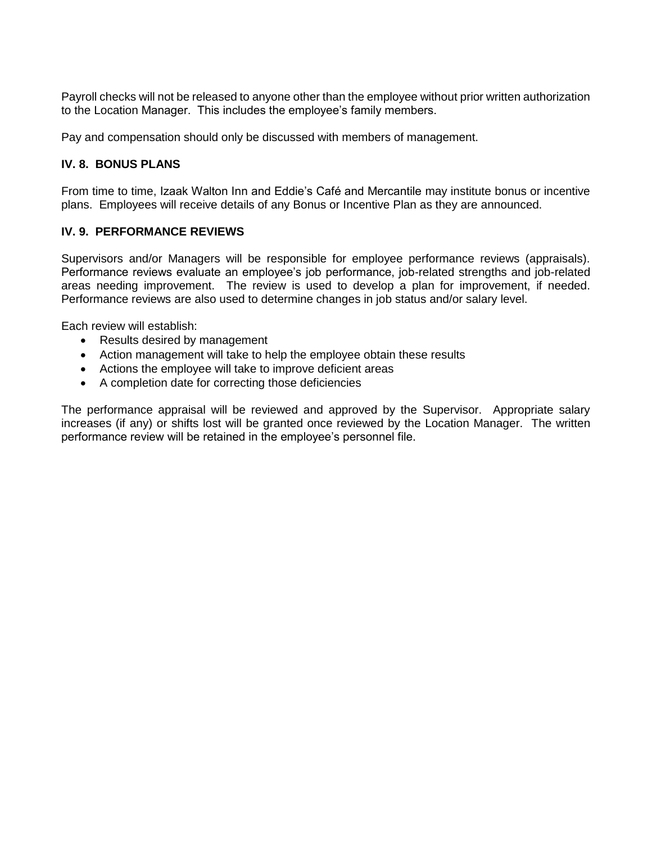Payroll checks will not be released to anyone other than the employee without prior written authorization to the Location Manager. This includes the employee's family members.

Pay and compensation should only be discussed with members of management.

#### **IV. 8. BONUS PLANS**

From time to time, Izaak Walton Inn and Eddie's Café and Mercantile may institute bonus or incentive plans. Employees will receive details of any Bonus or Incentive Plan as they are announced.

#### **IV. 9. PERFORMANCE REVIEWS**

Supervisors and/or Managers will be responsible for employee performance reviews (appraisals). Performance reviews evaluate an employee's job performance, job-related strengths and job-related areas needing improvement. The review is used to develop a plan for improvement, if needed. Performance reviews are also used to determine changes in job status and/or salary level.

Each review will establish:

- Results desired by management
- Action management will take to help the employee obtain these results
- Actions the employee will take to improve deficient areas
- A completion date for correcting those deficiencies

The performance appraisal will be reviewed and approved by the Supervisor. Appropriate salary increases (if any) or shifts lost will be granted once reviewed by the Location Manager. The written performance review will be retained in the employee's personnel file.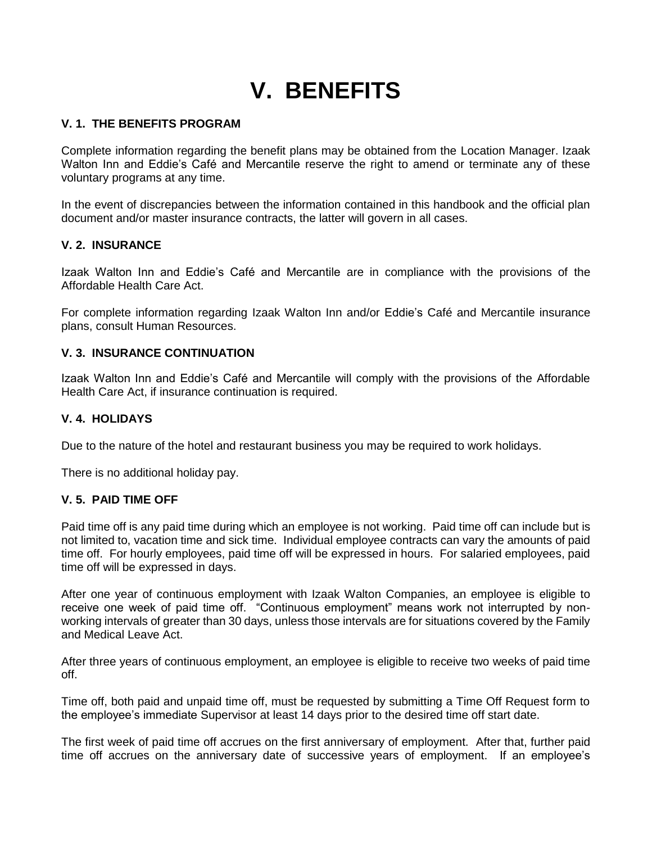## **V. BENEFITS**

#### **V. 1. THE BENEFITS PROGRAM**

Complete information regarding the benefit plans may be obtained from the Location Manager. Izaak Walton Inn and Eddie's Café and Mercantile reserve the right to amend or terminate any of these voluntary programs at any time.

In the event of discrepancies between the information contained in this handbook and the official plan document and/or master insurance contracts, the latter will govern in all cases.

#### **V. 2. INSURANCE**

Izaak Walton Inn and Eddie's Café and Mercantile are in compliance with the provisions of the Affordable Health Care Act.

For complete information regarding Izaak Walton Inn and/or Eddie's Café and Mercantile insurance plans, consult Human Resources.

#### **V. 3. INSURANCE CONTINUATION**

Izaak Walton Inn and Eddie's Café and Mercantile will comply with the provisions of the Affordable Health Care Act, if insurance continuation is required.

#### **V. 4. HOLIDAYS**

Due to the nature of the hotel and restaurant business you may be required to work holidays.

There is no additional holiday pay.

#### **V. 5. PAID TIME OFF**

Paid time off is any paid time during which an employee is not working. Paid time off can include but is not limited to, vacation time and sick time. Individual employee contracts can vary the amounts of paid time off. For hourly employees, paid time off will be expressed in hours. For salaried employees, paid time off will be expressed in days.

After one year of continuous employment with Izaak Walton Companies, an employee is eligible to receive one week of paid time off. "Continuous employment" means work not interrupted by nonworking intervals of greater than 30 days, unless those intervals are for situations covered by the Family and Medical Leave Act.

After three years of continuous employment, an employee is eligible to receive two weeks of paid time off.

Time off, both paid and unpaid time off, must be requested by submitting a Time Off Request form to the employee's immediate Supervisor at least 14 days prior to the desired time off start date.

The first week of paid time off accrues on the first anniversary of employment. After that, further paid time off accrues on the anniversary date of successive years of employment. If an employee's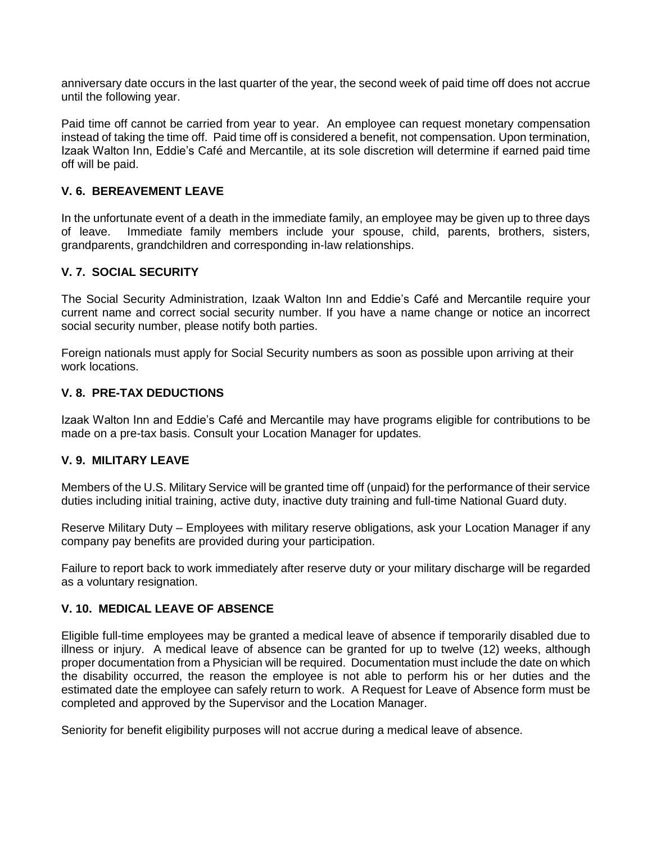anniversary date occurs in the last quarter of the year, the second week of paid time off does not accrue until the following year.

Paid time off cannot be carried from year to year. An employee can request monetary compensation instead of taking the time off. Paid time off is considered a benefit, not compensation. Upon termination, Izaak Walton Inn, Eddie's Café and Mercantile, at its sole discretion will determine if earned paid time off will be paid.

#### **V. 6. BEREAVEMENT LEAVE**

In the unfortunate event of a death in the immediate family, an employee may be given up to three days of leave. Immediate family members include your spouse, child, parents, brothers, sisters, grandparents, grandchildren and corresponding in-law relationships.

#### **V. 7. SOCIAL SECURITY**

The Social Security Administration, Izaak Walton Inn and Eddie's Café and Mercantile require your current name and correct social security number. If you have a name change or notice an incorrect social security number, please notify both parties.

Foreign nationals must apply for Social Security numbers as soon as possible upon arriving at their work locations.

#### **V. 8. PRE-TAX DEDUCTIONS**

Izaak Walton Inn and Eddie's Café and Mercantile may have programs eligible for contributions to be made on a pre-tax basis. Consult your Location Manager for updates.

#### **V. 9. MILITARY LEAVE**

Members of the U.S. Military Service will be granted time off (unpaid) for the performance of their service duties including initial training, active duty, inactive duty training and full-time National Guard duty.

Reserve Military Duty – Employees with military reserve obligations, ask your Location Manager if any company pay benefits are provided during your participation.

Failure to report back to work immediately after reserve duty or your military discharge will be regarded as a voluntary resignation.

#### **V. 10. MEDICAL LEAVE OF ABSENCE**

Eligible full-time employees may be granted a medical leave of absence if temporarily disabled due to illness or injury. A medical leave of absence can be granted for up to twelve (12) weeks, although proper documentation from a Physician will be required. Documentation must include the date on which the disability occurred, the reason the employee is not able to perform his or her duties and the estimated date the employee can safely return to work. A Request for Leave of Absence form must be completed and approved by the Supervisor and the Location Manager.

Seniority for benefit eligibility purposes will not accrue during a medical leave of absence.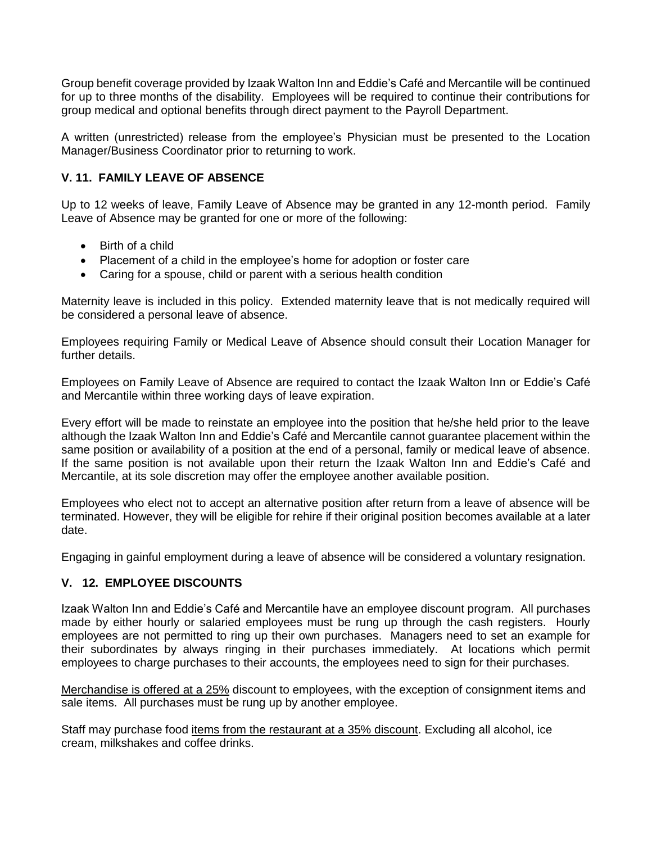Group benefit coverage provided by Izaak Walton Inn and Eddie's Café and Mercantile will be continued for up to three months of the disability. Employees will be required to continue their contributions for group medical and optional benefits through direct payment to the Payroll Department.

A written (unrestricted) release from the employee's Physician must be presented to the Location Manager/Business Coordinator prior to returning to work.

#### **V. 11. FAMILY LEAVE OF ABSENCE**

Up to 12 weeks of leave, Family Leave of Absence may be granted in any 12-month period. Family Leave of Absence may be granted for one or more of the following:

- Birth of a child
- Placement of a child in the employee's home for adoption or foster care
- Caring for a spouse, child or parent with a serious health condition

Maternity leave is included in this policy. Extended maternity leave that is not medically required will be considered a personal leave of absence.

Employees requiring Family or Medical Leave of Absence should consult their Location Manager for further details.

Employees on Family Leave of Absence are required to contact the Izaak Walton Inn or Eddie's Café and Mercantile within three working days of leave expiration.

Every effort will be made to reinstate an employee into the position that he/she held prior to the leave although the Izaak Walton Inn and Eddie's Café and Mercantile cannot guarantee placement within the same position or availability of a position at the end of a personal, family or medical leave of absence. If the same position is not available upon their return the Izaak Walton Inn and Eddie's Café and Mercantile, at its sole discretion may offer the employee another available position.

Employees who elect not to accept an alternative position after return from a leave of absence will be terminated. However, they will be eligible for rehire if their original position becomes available at a later date.

Engaging in gainful employment during a leave of absence will be considered a voluntary resignation.

#### **V. 12. EMPLOYEE DISCOUNTS**

Izaak Walton Inn and Eddie's Café and Mercantile have an employee discount program. All purchases made by either hourly or salaried employees must be rung up through the cash registers. Hourly employees are not permitted to ring up their own purchases. Managers need to set an example for their subordinates by always ringing in their purchases immediately. At locations which permit employees to charge purchases to their accounts, the employees need to sign for their purchases.

Merchandise is offered at a 25% discount to employees, with the exception of consignment items and sale items. All purchases must be rung up by another employee.

Staff may purchase food items from the restaurant at a 35% discount. Excluding all alcohol, ice cream, milkshakes and coffee drinks.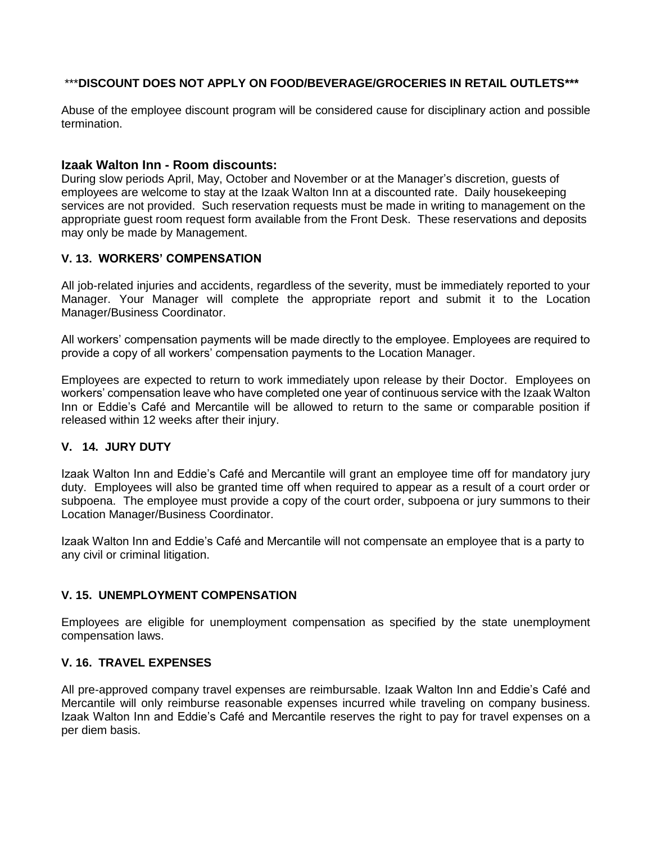#### \*\*\***DISCOUNT DOES NOT APPLY ON FOOD/BEVERAGE/GROCERIES IN RETAIL OUTLETS\*\*\***

Abuse of the employee discount program will be considered cause for disciplinary action and possible termination.

#### **Izaak Walton Inn - Room discounts:**

During slow periods April, May, October and November or at the Manager's discretion, guests of employees are welcome to stay at the Izaak Walton Inn at a discounted rate. Daily housekeeping services are not provided. Such reservation requests must be made in writing to management on the appropriate guest room request form available from the Front Desk. These reservations and deposits may only be made by Management.

#### **V. 13. WORKERS' COMPENSATION**

All job-related injuries and accidents, regardless of the severity, must be immediately reported to your Manager. Your Manager will complete the appropriate report and submit it to the Location Manager/Business Coordinator.

All workers' compensation payments will be made directly to the employee. Employees are required to provide a copy of all workers' compensation payments to the Location Manager.

Employees are expected to return to work immediately upon release by their Doctor. Employees on workers' compensation leave who have completed one year of continuous service with the Izaak Walton Inn or Eddie's Café and Mercantile will be allowed to return to the same or comparable position if released within 12 weeks after their injury.

#### **V. 14. JURY DUTY**

Izaak Walton Inn and Eddie's Café and Mercantile will grant an employee time off for mandatory jury duty. Employees will also be granted time off when required to appear as a result of a court order or subpoena. The employee must provide a copy of the court order, subpoena or jury summons to their Location Manager/Business Coordinator.

Izaak Walton Inn and Eddie's Café and Mercantile will not compensate an employee that is a party to any civil or criminal litigation.

#### **V. 15. UNEMPLOYMENT COMPENSATION**

Employees are eligible for unemployment compensation as specified by the state unemployment compensation laws.

#### **V. 16. TRAVEL EXPENSES**

All pre-approved company travel expenses are reimbursable. Izaak Walton Inn and Eddie's Café and Mercantile will only reimburse reasonable expenses incurred while traveling on company business. Izaak Walton Inn and Eddie's Café and Mercantile reserves the right to pay for travel expenses on a per diem basis.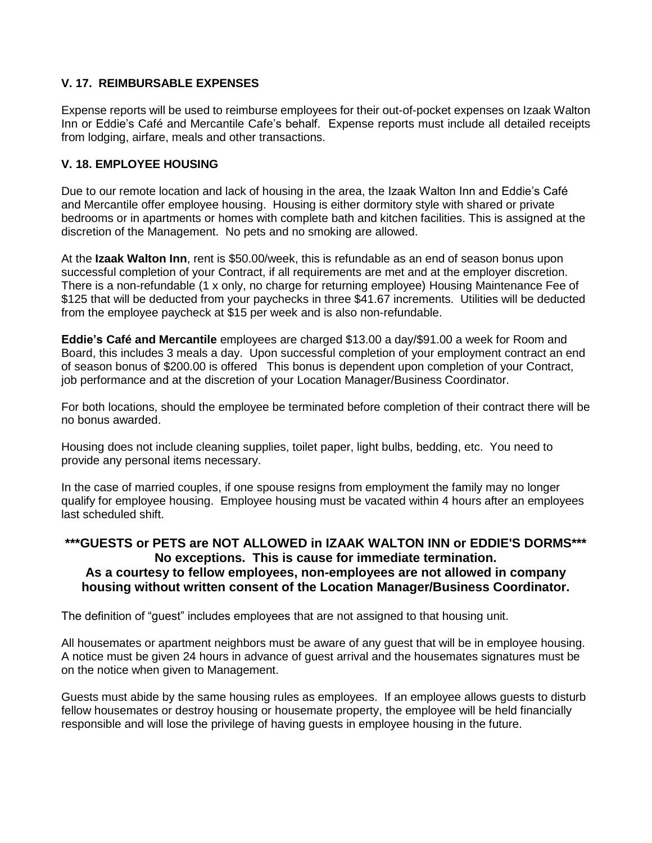#### **V. 17. REIMBURSABLE EXPENSES**

Expense reports will be used to reimburse employees for their out-of-pocket expenses on Izaak Walton Inn or Eddie's Café and Mercantile Cafe's behalf. Expense reports must include all detailed receipts from lodging, airfare, meals and other transactions.

#### **V. 18. EMPLOYEE HOUSING**

Due to our remote location and lack of housing in the area, the Izaak Walton Inn and Eddie's Café and Mercantile offer employee housing. Housing is either dormitory style with shared or private bedrooms or in apartments or homes with complete bath and kitchen facilities. This is assigned at the discretion of the Management. No pets and no smoking are allowed.

At the **Izaak Walton Inn**, rent is \$50.00/week, this is refundable as an end of season bonus upon successful completion of your Contract, if all requirements are met and at the employer discretion. There is a non-refundable (1 x only, no charge for returning employee) Housing Maintenance Fee of \$125 that will be deducted from your paychecks in three \$41.67 increments. Utilities will be deducted from the employee paycheck at \$15 per week and is also non-refundable.

**Eddie's Café and Mercantile** employees are charged \$13.00 a day/\$91.00 a week for Room and Board, this includes 3 meals a day. Upon successful completion of your employment contract an end of season bonus of \$200.00 is offered This bonus is dependent upon completion of your Contract, job performance and at the discretion of your Location Manager/Business Coordinator.

For both locations, should the employee be terminated before completion of their contract there will be no bonus awarded.

Housing does not include cleaning supplies, toilet paper, light bulbs, bedding, etc. You need to provide any personal items necessary.

In the case of married couples, if one spouse resigns from employment the family may no longer qualify for employee housing. Employee housing must be vacated within 4 hours after an employees last scheduled shift.

#### **\*\*\*GUESTS or PETS are NOT ALLOWED in IZAAK WALTON INN or EDDIE'S DORMS\*\*\* No exceptions. This is cause for immediate termination. As a courtesy to fellow employees, non-employees are not allowed in company housing without written consent of the Location Manager/Business Coordinator.**

The definition of "guest" includes employees that are not assigned to that housing unit.

All housemates or apartment neighbors must be aware of any guest that will be in employee housing. A notice must be given 24 hours in advance of guest arrival and the housemates signatures must be on the notice when given to Management.

Guests must abide by the same housing rules as employees. If an employee allows guests to disturb fellow housemates or destroy housing or housemate property, the employee will be held financially responsible and will lose the privilege of having guests in employee housing in the future.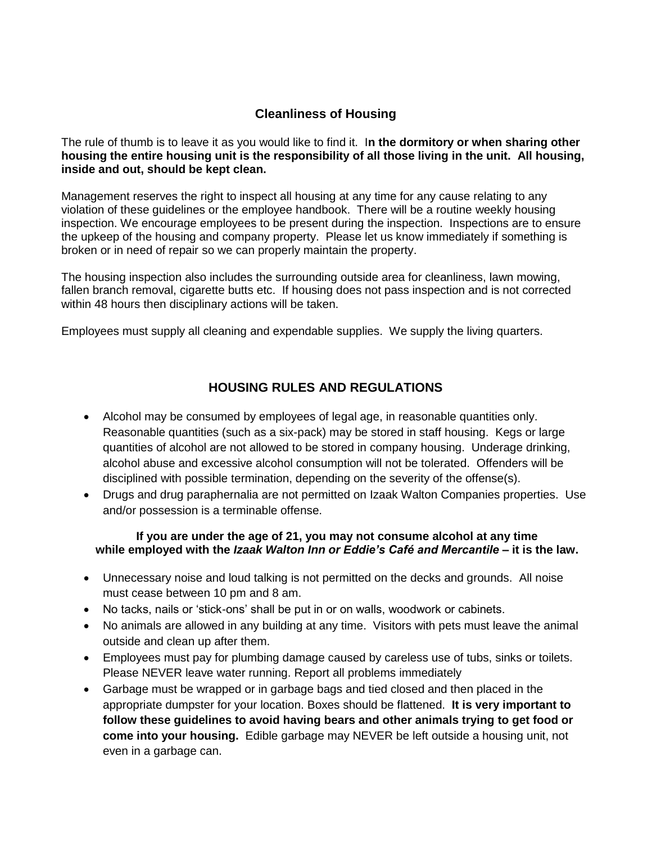### **Cleanliness of Housing**

The rule of thumb is to leave it as you would like to find it. I**n the dormitory or when sharing other housing the entire housing unit is the responsibility of all those living in the unit. All housing, inside and out, should be kept clean.**

Management reserves the right to inspect all housing at any time for any cause relating to any violation of these guidelines or the employee handbook. There will be a routine weekly housing inspection. We encourage employees to be present during the inspection. Inspections are to ensure the upkeep of the housing and company property. Please let us know immediately if something is broken or in need of repair so we can properly maintain the property.

The housing inspection also includes the surrounding outside area for cleanliness, lawn mowing, fallen branch removal, cigarette butts etc. If housing does not pass inspection and is not corrected within 48 hours then disciplinary actions will be taken.

Employees must supply all cleaning and expendable supplies. We supply the living quarters.

#### **HOUSING RULES AND REGULATIONS**

- Alcohol may be consumed by employees of legal age, in reasonable quantities only. Reasonable quantities (such as a six-pack) may be stored in staff housing. Kegs or large quantities of alcohol are not allowed to be stored in company housing. Underage drinking, alcohol abuse and excessive alcohol consumption will not be tolerated. Offenders will be disciplined with possible termination, depending on the severity of the offense(s).
- Drugs and drug paraphernalia are not permitted on Izaak Walton Companies properties. Use and/or possession is a terminable offense.

#### **If you are under the age of 21, you may not consume alcohol at any time while employed with the** *Izaak Walton Inn or Eddie's Café and Mercantile* **– it is the law.**

- Unnecessary noise and loud talking is not permitted on the decks and grounds. All noise must cease between 10 pm and 8 am.
- No tacks, nails or 'stick-ons' shall be put in or on walls, woodwork or cabinets.
- No animals are allowed in any building at any time. Visitors with pets must leave the animal outside and clean up after them.
- Employees must pay for plumbing damage caused by careless use of tubs, sinks or toilets. Please NEVER leave water running. Report all problems immediately
- Garbage must be wrapped or in garbage bags and tied closed and then placed in the appropriate dumpster for your location. Boxes should be flattened. **It is very important to follow these guidelines to avoid having bears and other animals trying to get food or come into your housing.** Edible garbage may NEVER be left outside a housing unit, not even in a garbage can.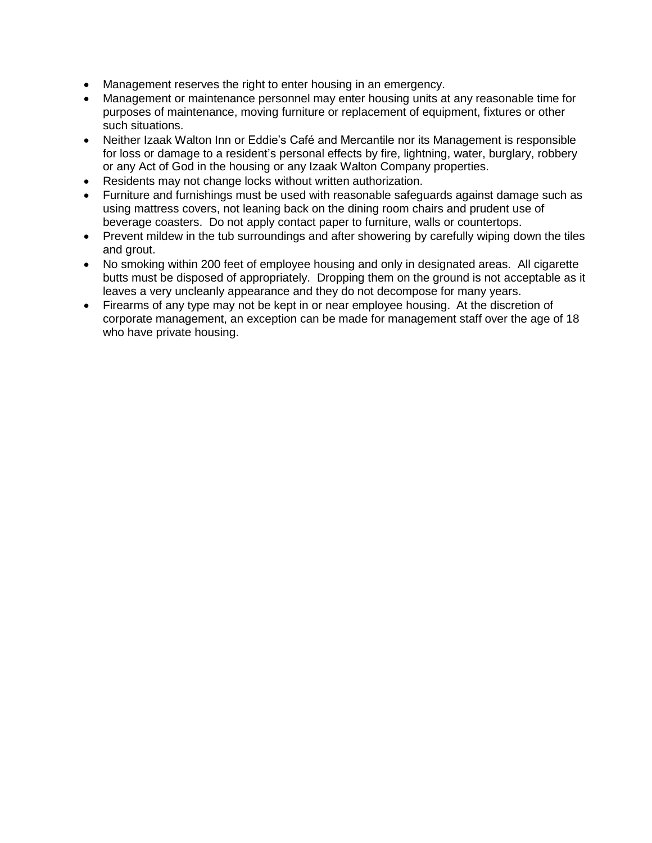- Management reserves the right to enter housing in an emergency.
- Management or maintenance personnel may enter housing units at any reasonable time for purposes of maintenance, moving furniture or replacement of equipment, fixtures or other such situations.
- Neither Izaak Walton Inn or Eddie's Café and Mercantile nor its Management is responsible for loss or damage to a resident's personal effects by fire, lightning, water, burglary, robbery or any Act of God in the housing or any Izaak Walton Company properties.
- Residents may not change locks without written authorization.
- Furniture and furnishings must be used with reasonable safeguards against damage such as using mattress covers, not leaning back on the dining room chairs and prudent use of beverage coasters. Do not apply contact paper to furniture, walls or countertops.
- Prevent mildew in the tub surroundings and after showering by carefully wiping down the tiles and grout.
- No smoking within 200 feet of employee housing and only in designated areas. All cigarette butts must be disposed of appropriately. Dropping them on the ground is not acceptable as it leaves a very uncleanly appearance and they do not decompose for many years.
- Firearms of any type may not be kept in or near employee housing. At the discretion of corporate management, an exception can be made for management staff over the age of 18 who have private housing.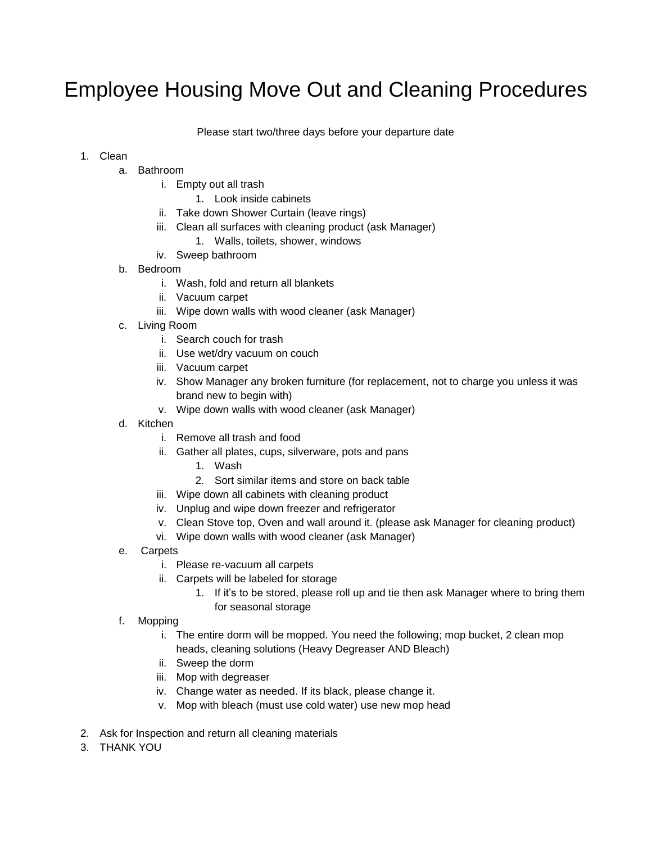## Employee Housing Move Out and Cleaning Procedures

Please start two/three days before your departure date

#### 1. Clean

- a. Bathroom
	- i. Empty out all trash
		- 1. Look inside cabinets
	- ii. Take down Shower Curtain (leave rings)
	- iii. Clean all surfaces with cleaning product (ask Manager)
		- 1. Walls, toilets, shower, windows
	- iv. Sweep bathroom
- b. Bedroom
	- i. Wash, fold and return all blankets
	- ii. Vacuum carpet
	- iii. Wipe down walls with wood cleaner (ask Manager)
- c. Living Room
	- i. Search couch for trash
	- ii. Use wet/dry vacuum on couch
	- iii. Vacuum carpet
	- iv. Show Manager any broken furniture (for replacement, not to charge you unless it was brand new to begin with)
	- v. Wipe down walls with wood cleaner (ask Manager)
- d. Kitchen
	- i. Remove all trash and food
	- ii. Gather all plates, cups, silverware, pots and pans
		- 1. Wash
		- 2. Sort similar items and store on back table
	- iii. Wipe down all cabinets with cleaning product
	- iv. Unplug and wipe down freezer and refrigerator
	- v. Clean Stove top, Oven and wall around it. (please ask Manager for cleaning product)
	- vi. Wipe down walls with wood cleaner (ask Manager)
- e. Carpets
	- i. Please re-vacuum all carpets
	- ii. Carpets will be labeled for storage
		- 1. If it's to be stored, please roll up and tie then ask Manager where to bring them for seasonal storage
- f. Mopping
	- i. The entire dorm will be mopped. You need the following; mop bucket, 2 clean mop heads, cleaning solutions (Heavy Degreaser AND Bleach)
	- ii. Sweep the dorm
	- iii. Mop with degreaser
	- iv. Change water as needed. If its black, please change it.
	- v. Mop with bleach (must use cold water) use new mop head
- 2. Ask for Inspection and return all cleaning materials
- 3. THANK YOU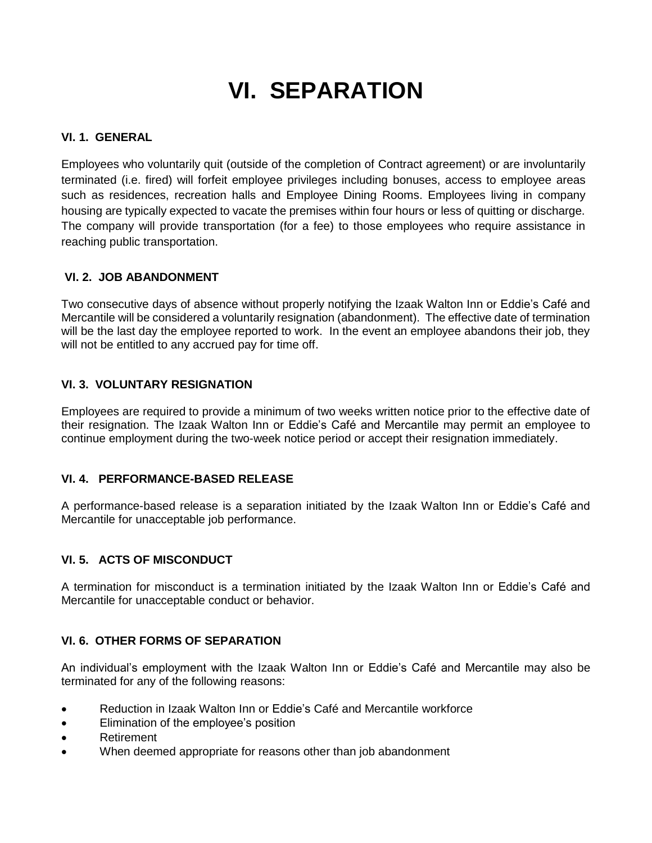# **VI. SEPARATION**

#### **VI. 1. GENERAL**

Employees who voluntarily quit (outside of the completion of Contract agreement) or are involuntarily terminated (i.e. fired) will forfeit employee privileges including bonuses, access to employee areas such as residences, recreation halls and Employee Dining Rooms. Employees living in company housing are typically expected to vacate the premises within four hours or less of quitting or discharge. The company will provide transportation (for a fee) to those employees who require assistance in reaching public transportation.

#### **VI. 2. JOB ABANDONMENT**

Two consecutive days of absence without properly notifying the Izaak Walton Inn or Eddie's Café and Mercantile will be considered a voluntarily resignation (abandonment). The effective date of termination will be the last day the employee reported to work. In the event an employee abandons their job, they will not be entitled to any accrued pay for time off.

#### **VI. 3. VOLUNTARY RESIGNATION**

Employees are required to provide a minimum of two weeks written notice prior to the effective date of their resignation. The Izaak Walton Inn or Eddie's Café and Mercantile may permit an employee to continue employment during the two-week notice period or accept their resignation immediately.

#### **VI. 4. PERFORMANCE-BASED RELEASE**

A performance-based release is a separation initiated by the Izaak Walton Inn or Eddie's Café and Mercantile for unacceptable job performance.

#### **VI. 5. ACTS OF MISCONDUCT**

A termination for misconduct is a termination initiated by the Izaak Walton Inn or Eddie's Café and Mercantile for unacceptable conduct or behavior.

#### **VI. 6. OTHER FORMS OF SEPARATION**

An individual's employment with the Izaak Walton Inn or Eddie's Café and Mercantile may also be terminated for any of the following reasons:

- Reduction in Izaak Walton Inn or Eddie's Café and Mercantile workforce
- Elimination of the employee's position
- Retirement
- When deemed appropriate for reasons other than job abandonment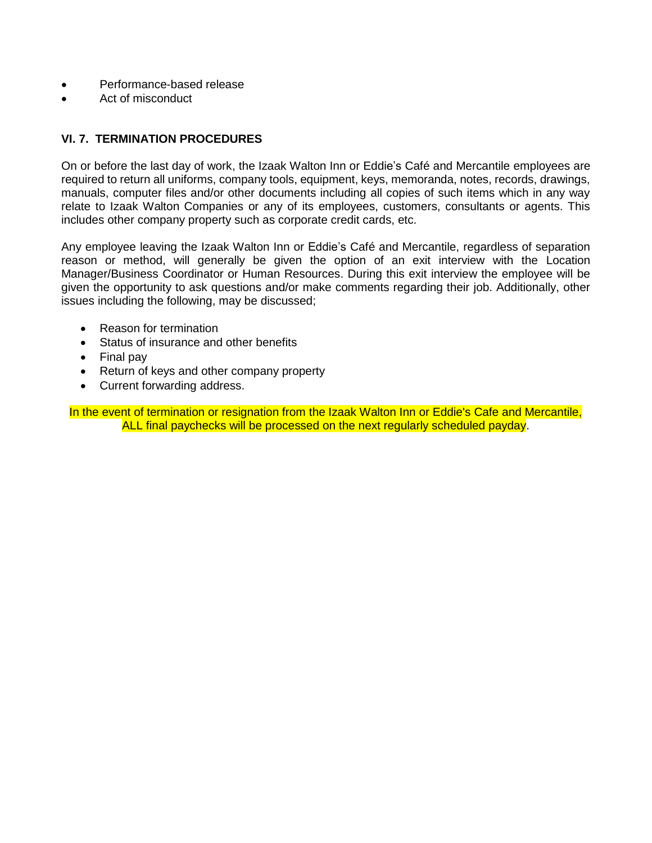- Performance-based release
- Act of misconduct

#### **VI. 7. TERMINATION PROCEDURES**

On or before the last day of work, the Izaak Walton Inn or Eddie's Café and Mercantile employees are required to return all uniforms, company tools, equipment, keys, memoranda, notes, records, drawings, manuals, computer files and/or other documents including all copies of such items which in any way relate to Izaak Walton Companies or any of its employees, customers, consultants or agents. This includes other company property such as corporate credit cards, etc.

Any employee leaving the Izaak Walton Inn or Eddie's Café and Mercantile, regardless of separation reason or method, will generally be given the option of an exit interview with the Location Manager/Business Coordinator or Human Resources. During this exit interview the employee will be given the opportunity to ask questions and/or make comments regarding their job. Additionally, other issues including the following, may be discussed;

- Reason for termination
- Status of insurance and other benefits
- Final pay
- Return of keys and other company property
- Current forwarding address.

In the event of termination or resignation from the Izaak Walton Inn or Eddie's Cafe and Mercantile, ALL final paychecks will be processed on the next regularly scheduled payday.